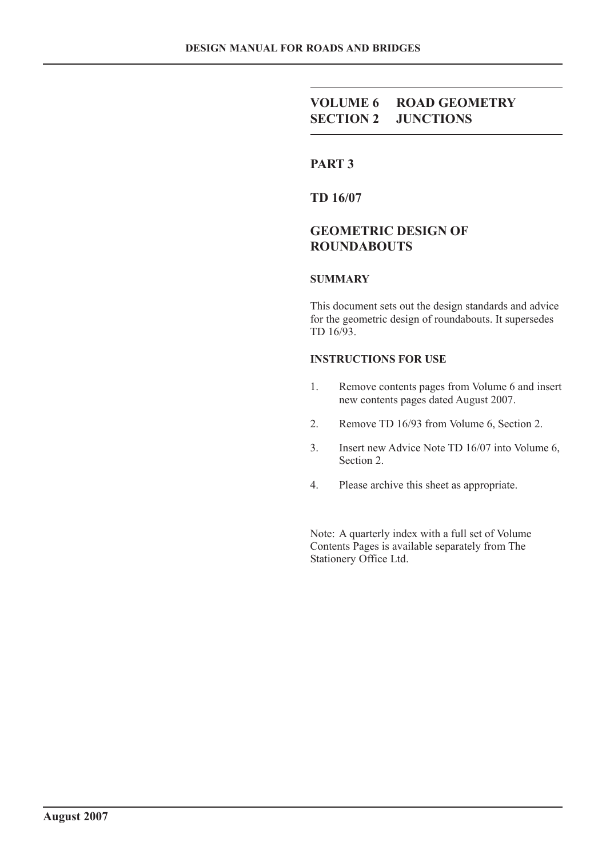# **VOLUME 6 ROAD GEOMETRY SECTION 2 JUNCTIONS**

# **PART 3**

**TD 16/07**

# **GEOMETRIC DESIGN OF ROUNDABOUTS**

### **SUMMARY**

This document sets out the design standards and advice for the geometric design of roundabouts. It supersedes TD 16/93.

#### **INSTRUCTIONS FOR USE**

- 1. Remove contents pages from Volume 6 and insert new contents pages dated August 2007.
- 2. Remove TD 16/93 from Volume 6, Section 2.
- 3. Insert new Advice Note TD 16/07 into Volume 6, Section 2.
- 4. Please archive this sheet as appropriate.

Note: A quarterly index with a full set of Volume Contents Pages is available separately from The Stationery Office Ltd.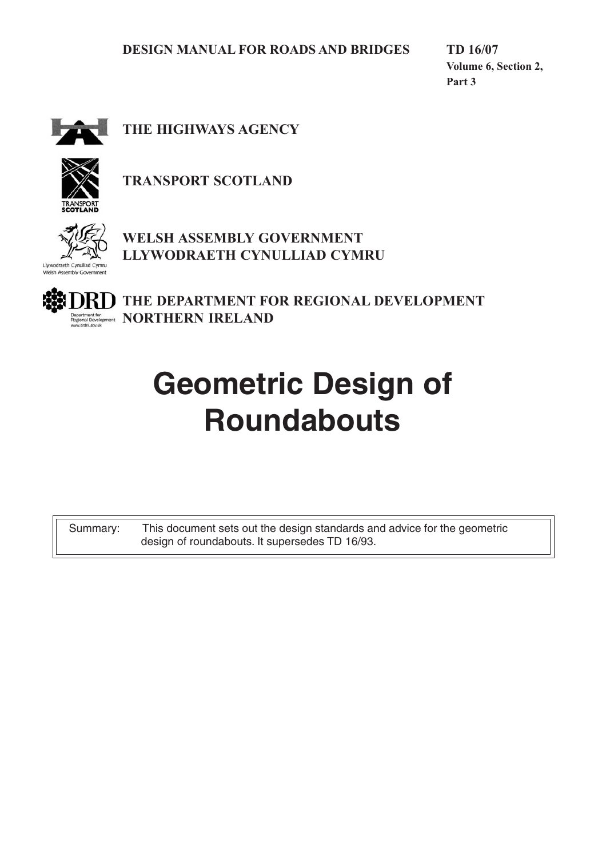**TD 16/07 Volume 6, Section 2, Part 3**



**THE HIGHWAYS AGENCY**



**TRANSPORT SCOTLAND**



**WELSH ASSEMBLY GOVERNMENT LLYWODRAETH CYNULLIAD CYMRU**

**THE DEPARTMENT FOR REGIONAL DEVELOPMENT Indepart for MORTHERN IRELAND** 

# **Geometric Design of Roundabouts**

Summary: This document sets out the design standards and advice for the geometric design of roundabouts. It supersedes TD 16/93.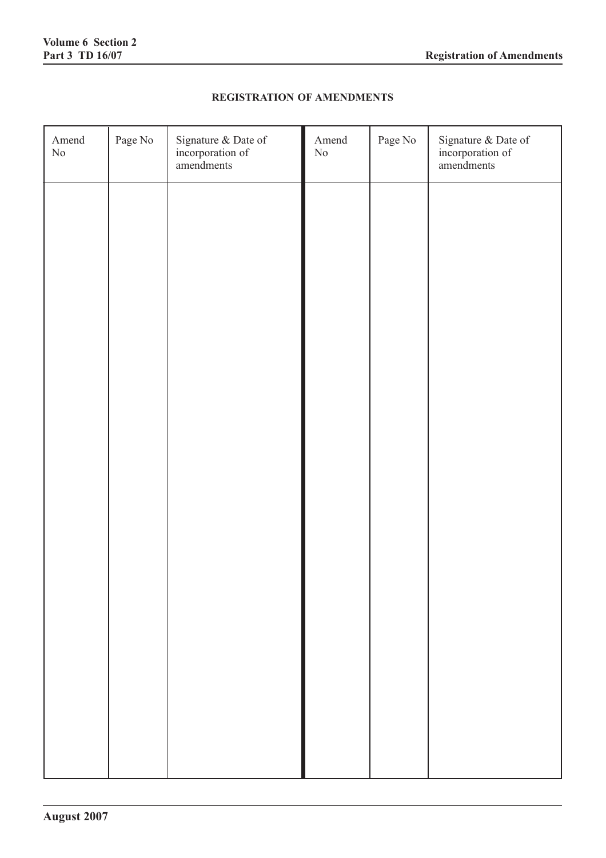$\blacksquare$ 

# **REGISTRATION OF AMENDMENTS**

| Amend<br>$\rm No$ | Page No | Signature & Date of<br>incorporation of<br>amendments | Amend<br>$\rm No$ | Page No | Signature & Date of<br>incorporation of<br>amendments |
|-------------------|---------|-------------------------------------------------------|-------------------|---------|-------------------------------------------------------|
|                   |         |                                                       |                   |         |                                                       |
|                   |         |                                                       |                   |         |                                                       |
|                   |         |                                                       |                   |         |                                                       |
|                   |         |                                                       |                   |         |                                                       |
|                   |         |                                                       |                   |         |                                                       |
|                   |         |                                                       |                   |         |                                                       |
|                   |         |                                                       |                   |         |                                                       |
|                   |         |                                                       |                   |         |                                                       |
|                   |         |                                                       |                   |         |                                                       |
|                   |         |                                                       |                   |         |                                                       |
|                   |         |                                                       |                   |         |                                                       |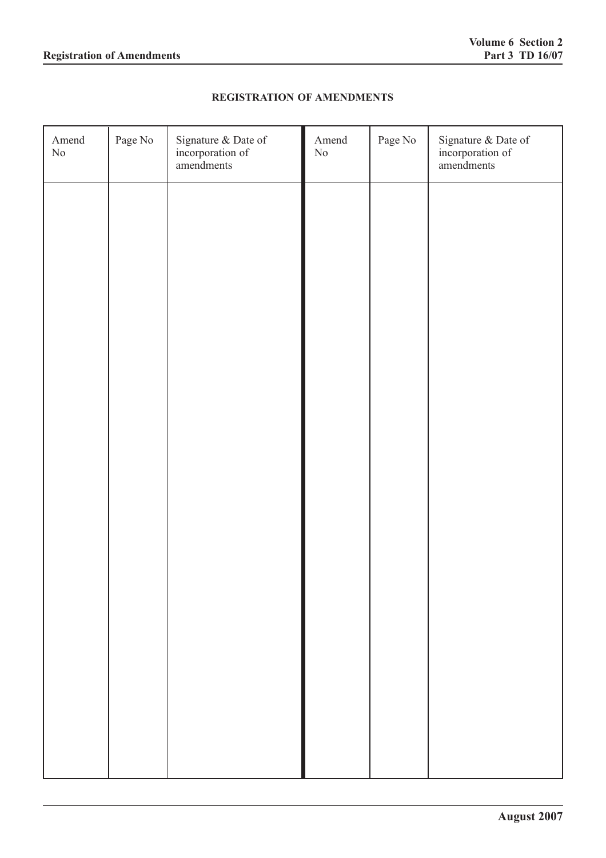# **REGISTRATION OF AMENDMENTS**

| Amend<br>$\rm No$ | Page No | Signature & Date of<br>incorporation of<br>amendments | Amend<br>$\rm No$ | Page No | Signature & Date of<br>incorporation of<br>amendments |
|-------------------|---------|-------------------------------------------------------|-------------------|---------|-------------------------------------------------------|
|                   |         |                                                       |                   |         |                                                       |
|                   |         |                                                       |                   |         |                                                       |
|                   |         |                                                       |                   |         |                                                       |
|                   |         |                                                       |                   |         |                                                       |
|                   |         |                                                       |                   |         |                                                       |
|                   |         |                                                       |                   |         |                                                       |
|                   |         |                                                       |                   |         |                                                       |
|                   |         |                                                       |                   |         |                                                       |
|                   |         |                                                       |                   |         |                                                       |
|                   |         |                                                       |                   |         |                                                       |
|                   |         |                                                       |                   |         |                                                       |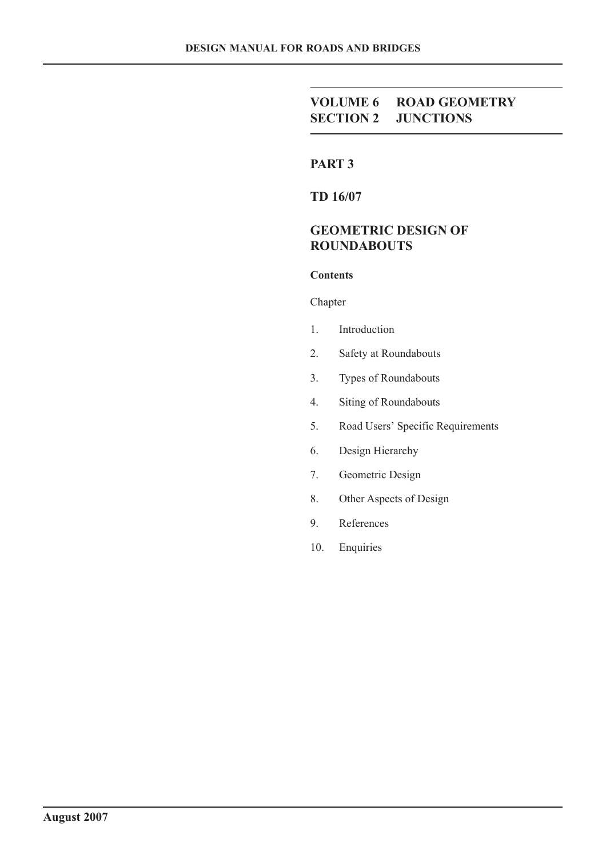# **VOLUME 6 ROAD GEOMETRY SECTION 2 JUNCTIONS**

# **PART 3**

**TD 16/07**

# **GEOMETRIC DESIGN OF ROUNDABOUTS**

# **Contents**

### Chapter

- 1. Introduction
- 2. Safety at Roundabouts
- 3. Types of Roundabouts
- 4. Siting of Roundabouts
- 5. Road Users' Specific Requirements
- 6. Design Hierarchy
- 7. Geometric Design
- 8. Other Aspects of Design
- 9. References
- 10. Enquiries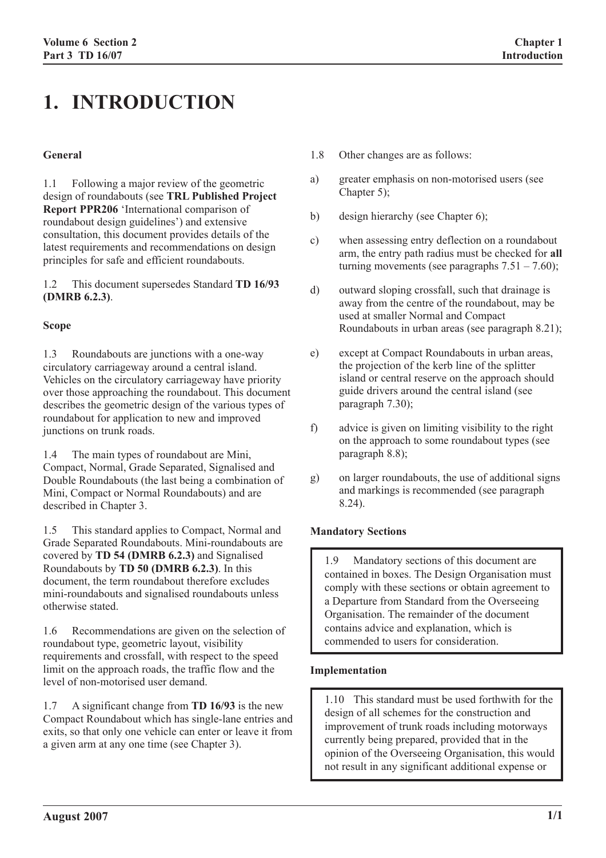# **1. INTRODUCTION**

#### **General**

1.1 Following a major review of the geometric design of roundabouts (see **TRL Published Project Report PPR206** 'International comparison of roundabout design guidelines') and extensive consultation, this document provides details of the latest requirements and recommendations on design principles for safe and efficient roundabouts.

1.2 This document supersedes Standard **TD 16/93 (DMRB 6.2.3)**.

#### **Scope**

1.3 Roundabouts are junctions with a one-way circulatory carriageway around a central island. Vehicles on the circulatory carriageway have priority over those approaching the roundabout. This document describes the geometric design of the various types of roundabout for application to new and improved junctions on trunk roads.

1.4 The main types of roundabout are Mini, Compact, Normal, Grade Separated, Signalised and Double Roundabouts (the last being a combination of Mini, Compact or Normal Roundabouts) and are described in Chapter 3.

1.5 This standard applies to Compact, Normal and Grade Separated Roundabouts. Mini-roundabouts are covered by **TD 54 (DMRB 6.2.3)** and Signalised Roundabouts by **TD 50 (DMRB 6.2.3)**. In this document, the term roundabout therefore excludes mini-roundabouts and signalised roundabouts unless otherwise stated.

1.6 Recommendations are given on the selection of roundabout type, geometric layout, visibility requirements and crossfall, with respect to the speed limit on the approach roads, the traffic flow and the level of non-motorised user demand.

1.7 A significant change from **TD 16/93** is the new Compact Roundabout which has single-lane entries and exits, so that only one vehicle can enter or leave it from a given arm at any one time (see Chapter 3).

- 1.8 Other changes are as follows:
- a) greater emphasis on non-motorised users (see Chapter 5):
- b) design hierarchy (see Chapter 6);
- c) when assessing entry deflection on a roundabout arm, the entry path radius must be checked for **all** turning movements (see paragraphs  $7.51 - 7.60$ );
- d) outward sloping crossfall, such that drainage is away from the centre of the roundabout, may be used at smaller Normal and Compact Roundabouts in urban areas (see paragraph 8.21);
- e) except at Compact Roundabouts in urban areas, the projection of the kerb line of the splitter island or central reserve on the approach should guide drivers around the central island (see paragraph 7.30);
- f) advice is given on limiting visibility to the right on the approach to some roundabout types (see paragraph 8.8);
- g) on larger roundabouts, the use of additional signs and markings is recommended (see paragraph 8.24).

### **Mandatory Sections**

1.9 Mandatory sections of this document are contained in boxes. The Design Organisation must comply with these sections or obtain agreement to a Departure from Standard from the Overseeing Organisation. The remainder of the document contains advice and explanation, which is commended to users for consideration.

#### **Implementation**

1.10 This standard must be used forthwith for the design of all schemes for the construction and improvement of trunk roads including motorways currently being prepared, provided that in the opinion of the Overseeing Organisation, this would not result in any significant additional expense or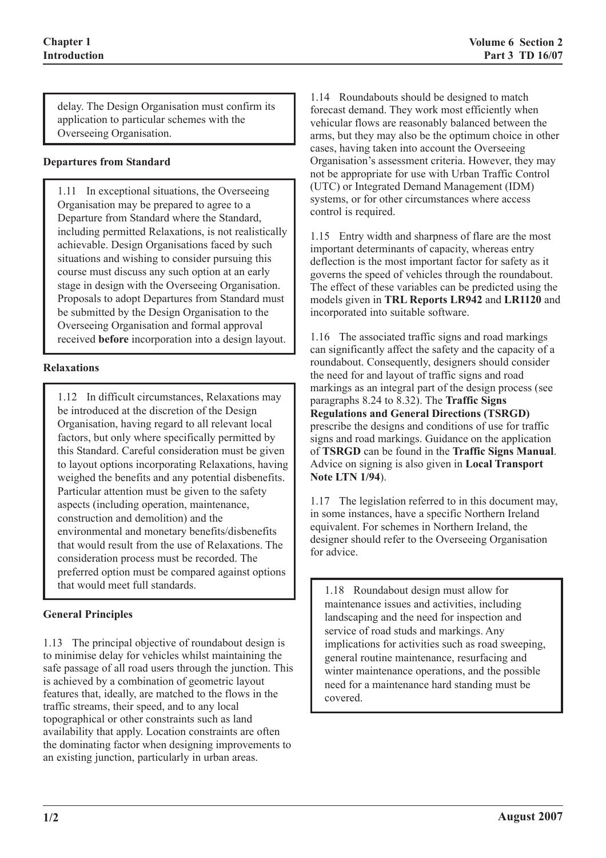delay. The Design Organisation must confirm its application to particular schemes with the Overseeing Organisation.

### **Departures from Standard**

1.11 In exceptional situations, the Overseeing Organisation may be prepared to agree to a Departure from Standard where the Standard, including permitted Relaxations, is not realistically achievable. Design Organisations faced by such situations and wishing to consider pursuing this course must discuss any such option at an early stage in design with the Overseeing Organisation. Proposals to adopt Departures from Standard must be submitted by the Design Organisation to the Overseeing Organisation and formal approval received **before** incorporation into a design layout.

#### **Relaxations**

1.12 In difficult circumstances, Relaxations may be introduced at the discretion of the Design Organisation, having regard to all relevant local factors, but only where specifically permitted by this Standard. Careful consideration must be given to layout options incorporating Relaxations, having weighed the benefits and any potential disbenefits. Particular attention must be given to the safety aspects (including operation, maintenance, construction and demolition) and the environmental and monetary benefits/disbenefits that would result from the use of Relaxations. The consideration process must be recorded. The preferred option must be compared against options that would meet full standards.

### **General Principles**

1.13 The principal objective of roundabout design is to minimise delay for vehicles whilst maintaining the safe passage of all road users through the junction. This is achieved by a combination of geometric layout features that, ideally, are matched to the flows in the traffic streams, their speed, and to any local topographical or other constraints such as land availability that apply. Location constraints are often the dominating factor when designing improvements to an existing junction, particularly in urban areas.

1.14 Roundabouts should be designed to match forecast demand. They work most efficiently when vehicular flows are reasonably balanced between the arms, but they may also be the optimum choice in other cases, having taken into account the Overseeing Organisation's assessment criteria. However, they may not be appropriate for use with Urban Traffic Control (UTC) or Integrated Demand Management (IDM) systems, or for other circumstances where access control is required.

1.15 Entry width and sharpness of flare are the most important determinants of capacity, whereas entry deflection is the most important factor for safety as it governs the speed of vehicles through the roundabout. The effect of these variables can be predicted using the models given in **TRL Reports LR942** and **LR1120** and incorporated into suitable software.

1.16 The associated traffic signs and road markings can significantly affect the safety and the capacity of a roundabout. Consequently, designers should consider the need for and layout of traffic signs and road markings as an integral part of the design process (see paragraphs 8.24 to 8.32). The **Traffic Signs Regulations and General Directions (TSRGD)** prescribe the designs and conditions of use for traffic signs and road markings. Guidance on the application of **TSRGD** can be found in the **Traffic Signs Manual**. Advice on signing is also given in **Local Transport Note LTN 1/94**).

1.17 The legislation referred to in this document may, in some instances, have a specific Northern Ireland equivalent. For schemes in Northern Ireland, the designer should refer to the Overseeing Organisation for advice.

1.18 Roundabout design must allow for maintenance issues and activities, including landscaping and the need for inspection and service of road studs and markings. Any implications for activities such as road sweeping, general routine maintenance, resurfacing and winter maintenance operations, and the possible need for a maintenance hard standing must be covered.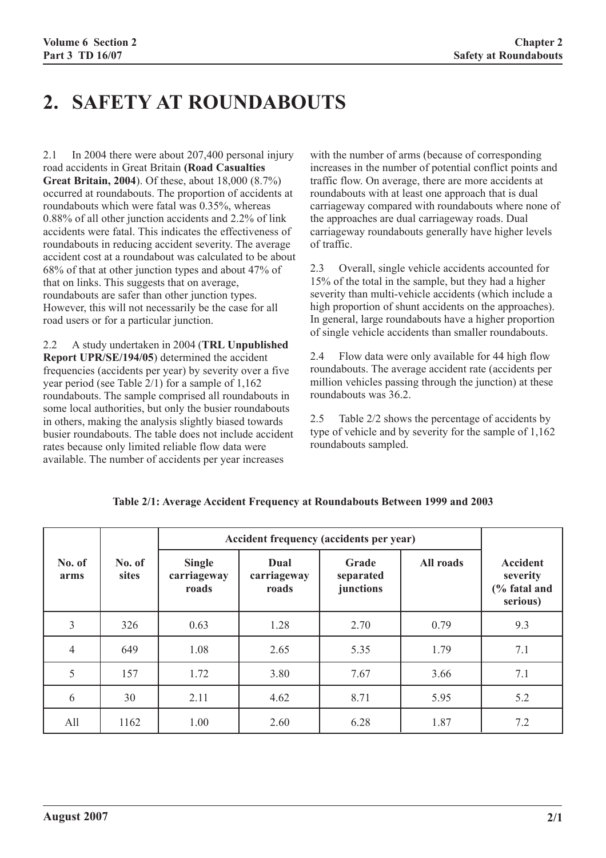# **2. SAFETY AT ROUNDABOUTS**

2.1 In 2004 there were about 207,400 personal injury road accidents in Great Britain **(Road Casualties Great Britain, 2004**). Of these, about 18,000 (8.7%) occurred at roundabouts. The proportion of accidents at roundabouts which were fatal was 0.35%, whereas 0.88% of all other junction accidents and 2.2% of link accidents were fatal. This indicates the effectiveness of roundabouts in reducing accident severity. The average accident cost at a roundabout was calculated to be about 68% of that at other junction types and about 47% of that on links. This suggests that on average, roundabouts are safer than other junction types. However, this will not necessarily be the case for all road users or for a particular junction.

2.2 A study undertaken in 2004 (**TRL Unpublished Report UPR/SE/194/05**) determined the accident frequencies (accidents per year) by severity over a five year period (see Table 2/1) for a sample of 1,162 roundabouts. The sample comprised all roundabouts in some local authorities, but only the busier roundabouts in others, making the analysis slightly biased towards busier roundabouts. The table does not include accident rates because only limited reliable flow data were available. The number of accidents per year increases

with the number of arms (because of corresponding increases in the number of potential conflict points and traffic flow. On average, there are more accidents at roundabouts with at least one approach that is dual carriageway compared with roundabouts where none of the approaches are dual carriageway roads. Dual carriageway roundabouts generally have higher levels of traffic.

2.3 Overall, single vehicle accidents accounted for 15% of the total in the sample, but they had a higher severity than multi-vehicle accidents (which include a high proportion of shunt accidents on the approaches). In general, large roundabouts have a higher proportion of single vehicle accidents than smaller roundabouts.

2.4 Flow data were only available for 44 high flow roundabouts. The average accident rate (accidents per million vehicles passing through the junction) at these roundabouts was 36.2.

2.5 Table 2/2 shows the percentage of accidents by type of vehicle and by severity for the sample of 1,162 roundabouts sampled.

|                |                        | Accident frequency (accidents per year) |                              |                                 |           |                                                         |
|----------------|------------------------|-----------------------------------------|------------------------------|---------------------------------|-----------|---------------------------------------------------------|
| No. of<br>arms | No. of<br><b>sites</b> | <b>Single</b><br>carriageway<br>roads   | Dual<br>carriageway<br>roads | Grade<br>separated<br>junctions | All roads | <b>Accident</b><br>severity<br>(% fatal and<br>serious) |
| 3              | 326                    | 0.63                                    | 1.28                         | 2.70                            | 0.79      | 9.3                                                     |
| $\overline{4}$ | 649                    | 1.08                                    | 2.65                         | 5.35                            | 1.79      | 7.1                                                     |
| 5              | 157                    | 1.72                                    | 3.80                         | 7.67                            | 3.66      | 7.1                                                     |
| 6              | 30                     | 2.11                                    | 4.62                         | 8.71                            | 5.95      | 5.2                                                     |
| All            | 1162                   | 1.00                                    | 2.60                         | 6.28                            | 1.87      | 7.2                                                     |

### **Table 2/1: Average Accident Frequency at Roundabouts Between 1999 and 2003**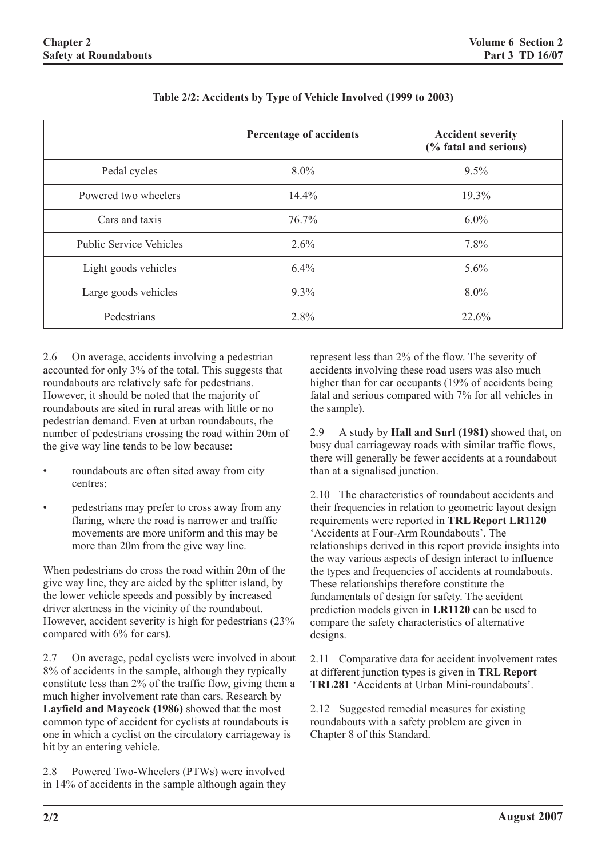|                                | Percentage of accidents | <b>Accident severity</b><br>(% fatal and serious) |
|--------------------------------|-------------------------|---------------------------------------------------|
| Pedal cycles                   | $8.0\%$                 | 9.5%                                              |
| Powered two wheelers           | 14.4%                   | 19.3%                                             |
| Cars and taxis                 | 76.7%                   | $6.0\%$                                           |
| <b>Public Service Vehicles</b> | 2.6%                    | 7.8%                                              |
| Light goods vehicles           | 6.4%                    | 5.6%                                              |
| Large goods vehicles           | $9.3\%$                 | 8.0%                                              |
| Pedestrians                    | 2.8%                    | 22.6%                                             |

| Table 2/2: Accidents by Type of Vehicle Involved (1999 to 2003) |  |
|-----------------------------------------------------------------|--|

2.6 On average, accidents involving a pedestrian accounted for only 3% of the total. This suggests that roundabouts are relatively safe for pedestrians. However, it should be noted that the majority of roundabouts are sited in rural areas with little or no pedestrian demand. Even at urban roundabouts, the number of pedestrians crossing the road within 20m of the give way line tends to be low because:

- roundabouts are often sited away from city centres;
- pedestrians may prefer to cross away from any flaring, where the road is narrower and traffic movements are more uniform and this may be more than 20m from the give way line.

When pedestrians do cross the road within 20m of the give way line, they are aided by the splitter island, by the lower vehicle speeds and possibly by increased driver alertness in the vicinity of the roundabout. However, accident severity is high for pedestrians (23% compared with 6% for cars).

2.7 On average, pedal cyclists were involved in about 8% of accidents in the sample, although they typically constitute less than 2% of the traffic flow, giving them a much higher involvement rate than cars. Research by **Layfield and Maycock (1986)** showed that the most common type of accident for cyclists at roundabouts is one in which a cyclist on the circulatory carriageway is hit by an entering vehicle.

2.8 Powered Two-Wheelers (PTWs) were involved in 14% of accidents in the sample although again they represent less than 2% of the flow. The severity of accidents involving these road users was also much higher than for car occupants (19% of accidents being fatal and serious compared with 7% for all vehicles in the sample).

2.9 A study by **Hall and Surl (1981)** showed that, on busy dual carriageway roads with similar traffic flows, there will generally be fewer accidents at a roundabout than at a signalised junction.

2.10 The characteristics of roundabout accidents and their frequencies in relation to geometric layout design requirements were reported in **TRL Report LR1120** 'Accidents at Four-Arm Roundabouts'. The relationships derived in this report provide insights into the way various aspects of design interact to influence the types and frequencies of accidents at roundabouts. These relationships therefore constitute the fundamentals of design for safety. The accident prediction models given in **LR1120** can be used to compare the safety characteristics of alternative designs.

2.11 Comparative data for accident involvement rates at different junction types is given in **TRL Report TRL281** 'Accidents at Urban Mini-roundabouts'.

2.12 Suggested remedial measures for existing roundabouts with a safety problem are given in Chapter 8 of this Standard.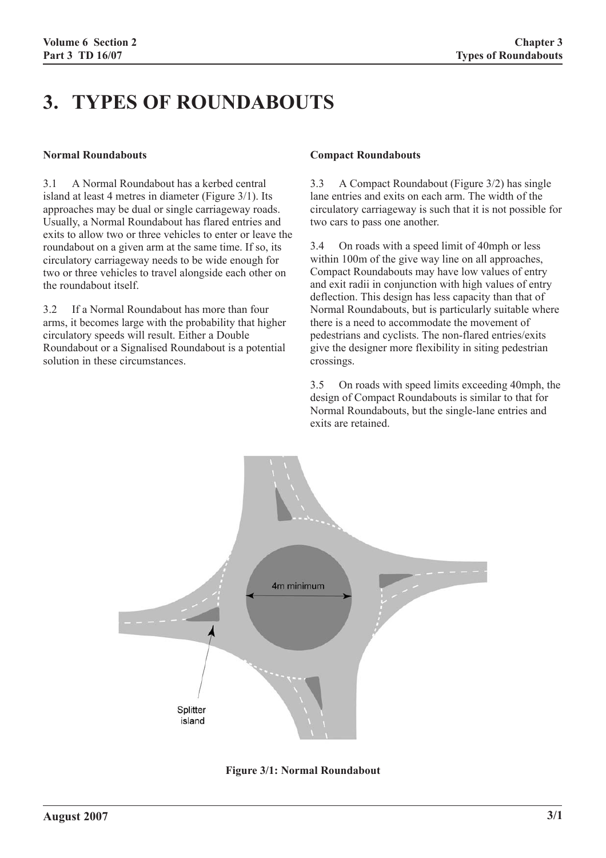# **3. TYPES OF ROUNDABOUTS**

#### **Normal Roundabouts**

3.1 A Normal Roundabout has a kerbed central island at least 4 metres in diameter (Figure 3/1). Its approaches may be dual or single carriageway roads. Usually, a Normal Roundabout has flared entries and exits to allow two or three vehicles to enter or leave the roundabout on a given arm at the same time. If so, its circulatory carriageway needs to be wide enough for two or three vehicles to travel alongside each other on the roundabout itself.

3.2 If a Normal Roundabout has more than four arms, it becomes large with the probability that higher circulatory speeds will result. Either a Double Roundabout or a Signalised Roundabout is a potential solution in these circumstances.

#### **Compact Roundabouts**

3.3 A Compact Roundabout (Figure 3/2) has single lane entries and exits on each arm. The width of the circulatory carriageway is such that it is not possible for two cars to pass one another.

3.4 On roads with a speed limit of 40mph or less within 100m of the give way line on all approaches, Compact Roundabouts may have low values of entry and exit radii in conjunction with high values of entry deflection. This design has less capacity than that of Normal Roundabouts, but is particularly suitable where there is a need to accommodate the movement of pedestrians and cyclists. The non-flared entries/exits give the designer more flexibility in siting pedestrian crossings.

3.5 On roads with speed limits exceeding 40mph, the design of Compact Roundabouts is similar to that for Normal Roundabouts, but the single-lane entries and exits are retained.



**Figure 3/1: Normal Roundabout**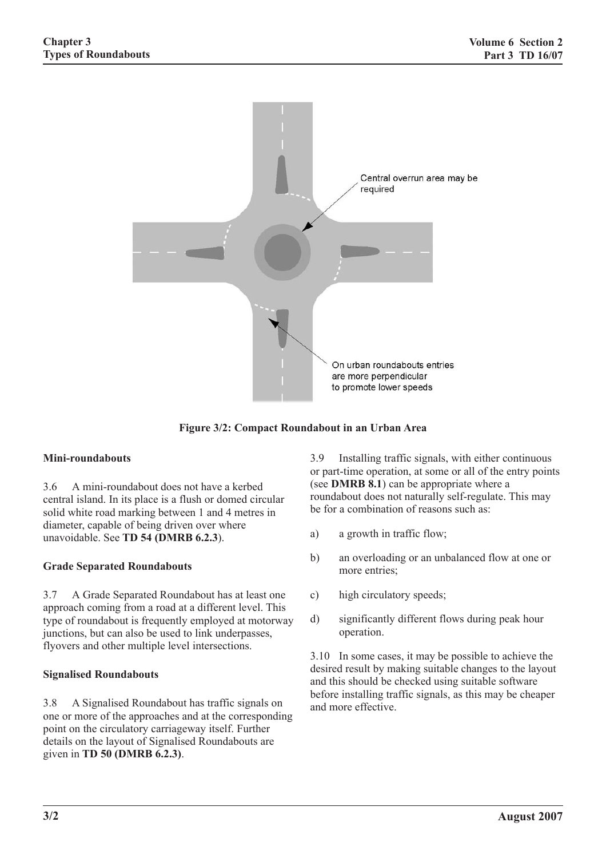

**Figure 3/2: Compact Roundabout in an Urban Area**

### **Mini-roundabouts**

3.6 A mini-roundabout does not have a kerbed central island. In its place is a flush or domed circular solid white road marking between 1 and 4 metres in diameter, capable of being driven over where unavoidable. See **TD 54 (DMRB 6.2.3**).

### **Grade Separated Roundabouts**

3.7 A Grade Separated Roundabout has at least one approach coming from a road at a different level. This type of roundabout is frequently employed at motorway junctions, but can also be used to link underpasses, flyovers and other multiple level intersections.

### **Signalised Roundabouts**

3.8 A Signalised Roundabout has traffic signals on one or more of the approaches and at the corresponding point on the circulatory carriageway itself. Further details on the layout of Signalised Roundabouts are given in **TD 50 (DMRB 6.2.3)**.

3.9 Installing traffic signals, with either continuous or part-time operation, at some or all of the entry points (see **DMRB 8.1**) can be appropriate where a roundabout does not naturally self-regulate. This may be for a combination of reasons such as:

- a) a growth in traffic flow;
- b) an overloading or an unbalanced flow at one or more entries;
- c) high circulatory speeds;
- d) significantly different flows during peak hour operation.

3.10 In some cases, it may be possible to achieve the desired result by making suitable changes to the layout and this should be checked using suitable software before installing traffic signals, as this may be cheaper and more effective.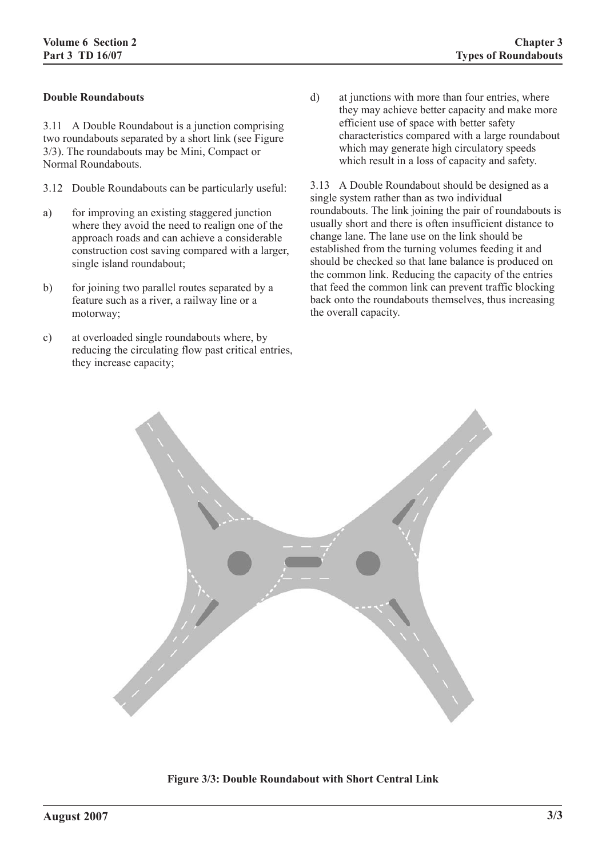### **Double Roundabouts**

3.11 A Double Roundabout is a junction comprising two roundabouts separated by a short link (see Figure 3/3). The roundabouts may be Mini, Compact or Normal Roundabouts.

- 3.12 Double Roundabouts can be particularly useful:
- a) for improving an existing staggered junction where they avoid the need to realign one of the approach roads and can achieve a considerable construction cost saving compared with a larger, single island roundabout;
- b) for joining two parallel routes separated by a feature such as a river, a railway line or a motorway;
- c) at overloaded single roundabouts where, by reducing the circulating flow past critical entries, they increase capacity;

d) at junctions with more than four entries, where they may achieve better capacity and make more efficient use of space with better safety characteristics compared with a large roundabout which may generate high circulatory speeds which result in a loss of capacity and safety.

3.13 A Double Roundabout should be designed as a single system rather than as two individual roundabouts. The link joining the pair of roundabouts is usually short and there is often insufficient distance to change lane. The lane use on the link should be established from the turning volumes feeding it and should be checked so that lane balance is produced on the common link. Reducing the capacity of the entries that feed the common link can prevent traffic blocking back onto the roundabouts themselves, thus increasing the overall capacity.



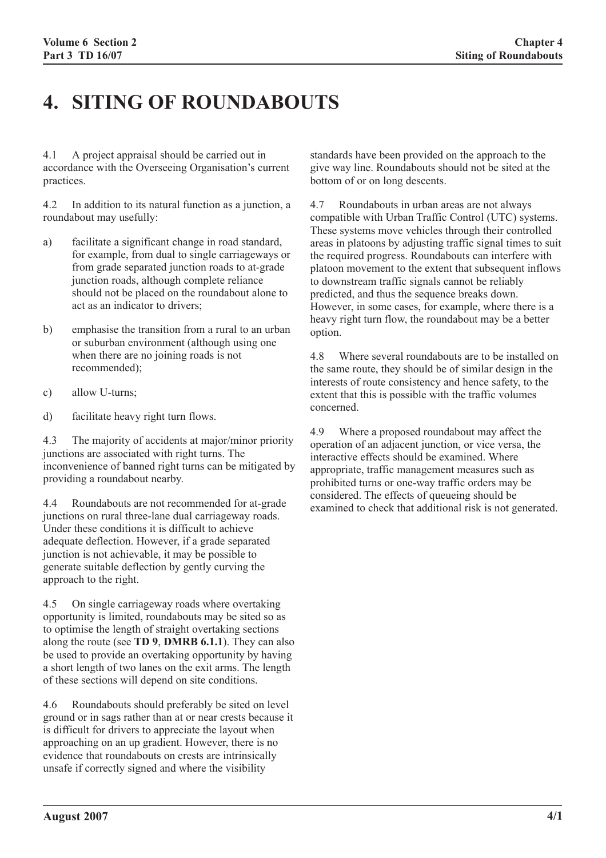# **4. SITING OF ROUNDABOUTS**

4.1 A project appraisal should be carried out in accordance with the Overseeing Organisation's current practices.

4.2 In addition to its natural function as a junction, a roundabout may usefully:

- a) facilitate a significant change in road standard, for example, from dual to single carriageways or from grade separated junction roads to at-grade junction roads, although complete reliance should not be placed on the roundabout alone to act as an indicator to drivers;
- b) emphasise the transition from a rural to an urban or suburban environment (although using one when there are no joining roads is not recommended);
- c) allow U-turns;
- d) facilitate heavy right turn flows.

4.3 The majority of accidents at major/minor priority junctions are associated with right turns. The inconvenience of banned right turns can be mitigated by providing a roundabout nearby.

4.4 Roundabouts are not recommended for at-grade junctions on rural three-lane dual carriageway roads. Under these conditions it is difficult to achieve adequate deflection. However, if a grade separated junction is not achievable, it may be possible to generate suitable deflection by gently curving the approach to the right.

4.5 On single carriageway roads where overtaking opportunity is limited, roundabouts may be sited so as to optimise the length of straight overtaking sections along the route (see **TD 9**, **DMRB 6.1.1**). They can also be used to provide an overtaking opportunity by having a short length of two lanes on the exit arms. The length of these sections will depend on site conditions.

4.6 Roundabouts should preferably be sited on level ground or in sags rather than at or near crests because it is difficult for drivers to appreciate the layout when approaching on an up gradient. However, there is no evidence that roundabouts on crests are intrinsically unsafe if correctly signed and where the visibility

standards have been provided on the approach to the give way line. Roundabouts should not be sited at the bottom of or on long descents.

4.7 Roundabouts in urban areas are not always compatible with Urban Traffic Control (UTC) systems. These systems move vehicles through their controlled areas in platoons by adjusting traffic signal times to suit the required progress. Roundabouts can interfere with platoon movement to the extent that subsequent inflows to downstream traffic signals cannot be reliably predicted, and thus the sequence breaks down. However, in some cases, for example, where there is a heavy right turn flow, the roundabout may be a better option.

4.8 Where several roundabouts are to be installed on the same route, they should be of similar design in the interests of route consistency and hence safety, to the extent that this is possible with the traffic volumes concerned.

4.9 Where a proposed roundabout may affect the operation of an adjacent junction, or vice versa, the interactive effects should be examined. Where appropriate, traffic management measures such as prohibited turns or one-way traffic orders may be considered. The effects of queueing should be examined to check that additional risk is not generated.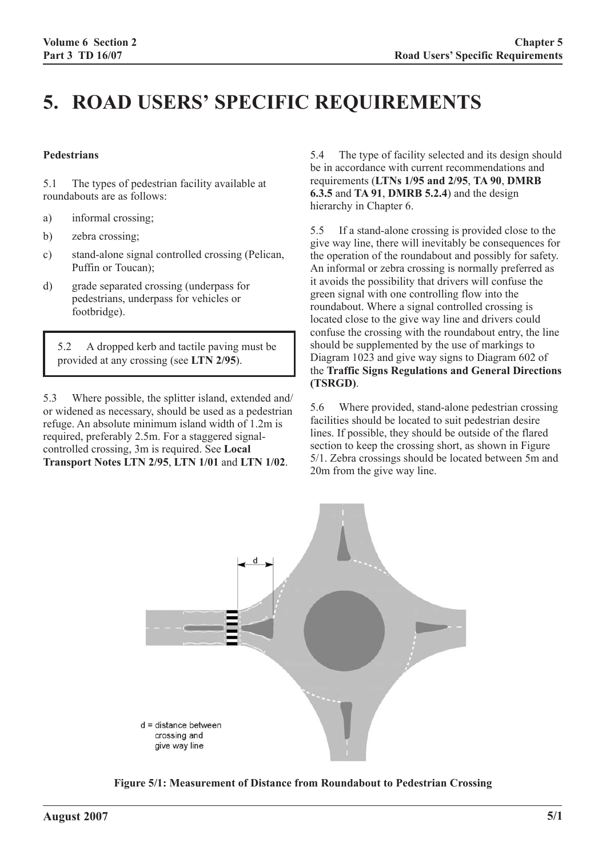# **5. ROAD USERS' SPECIFIC REQUIREMENTS**

#### **Pedestrians**

5.1 The types of pedestrian facility available at roundabouts are as follows:

- a) informal crossing;
- b) zebra crossing;
- c) stand-alone signal controlled crossing (Pelican, Puffin or Toucan);
- d) grade separated crossing (underpass for pedestrians, underpass for vehicles or footbridge).

5.2 A dropped kerb and tactile paving must be provided at any crossing (see **LTN 2/95**).

5.3 Where possible, the splitter island, extended and/ or widened as necessary, should be used as a pedestrian refuge. An absolute minimum island width of 1.2m is required, preferably 2.5m. For a staggered signalcontrolled crossing, 3m is required. See **Local Transport Notes LTN 2/95**, **LTN 1/01** and **LTN 1/02**.

5.4 The type of facility selected and its design should be in accordance with current recommendations and requirements (**LTNs 1/95 and 2/95**, **TA 90**, **DMRB 6.3.5** and **TA 91**, **DMRB 5.2.4**) and the design hierarchy in Chapter 6.

5.5 If a stand-alone crossing is provided close to the give way line, there will inevitably be consequences for the operation of the roundabout and possibly for safety. An informal or zebra crossing is normally preferred as it avoids the possibility that drivers will confuse the green signal with one controlling flow into the roundabout. Where a signal controlled crossing is located close to the give way line and drivers could confuse the crossing with the roundabout entry, the line should be supplemented by the use of markings to Diagram 1023 and give way signs to Diagram 602 of the **Traffic Signs Regulations and General Directions (TSRGD)**.

5.6 Where provided, stand-alone pedestrian crossing facilities should be located to suit pedestrian desire lines. If possible, they should be outside of the flared section to keep the crossing short, as shown in Figure 5/1. Zebra crossings should be located between 5m and 20m from the give way line.



**Figure 5/1: Measurement of Distance from Roundabout to Pedestrian Crossing**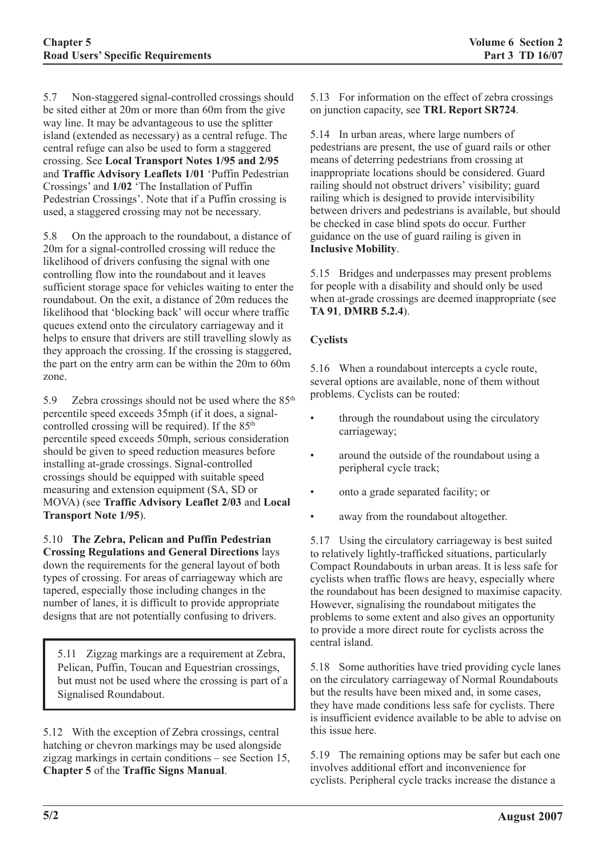5.7 Non-staggered signal-controlled crossings should be sited either at 20m or more than 60m from the give way line. It may be advantageous to use the splitter island (extended as necessary) as a central refuge. The central refuge can also be used to form a staggered crossing. See **Local Transport Notes 1/95 and 2/95** and **Traffic Advisory Leaflets 1/01** 'Puffin Pedestrian Crossings' and **1/02** 'The Installation of Puffin Pedestrian Crossings'. Note that if a Puffin crossing is used, a staggered crossing may not be necessary.

5.8 On the approach to the roundabout, a distance of 20m for a signal-controlled crossing will reduce the likelihood of drivers confusing the signal with one controlling flow into the roundabout and it leaves sufficient storage space for vehicles waiting to enter the roundabout. On the exit, a distance of 20m reduces the likelihood that 'blocking back' will occur where traffic queues extend onto the circulatory carriageway and it helps to ensure that drivers are still travelling slowly as they approach the crossing. If the crossing is staggered, the part on the entry arm can be within the 20m to 60m zone.

5.9 Zebra crossings should not be used where the  $85<sup>th</sup>$ percentile speed exceeds 35mph (if it does, a signalcontrolled crossing will be required). If the  $85<sup>th</sup>$ percentile speed exceeds 50mph, serious consideration should be given to speed reduction measures before installing at-grade crossings. Signal-controlled crossings should be equipped with suitable speed measuring and extension equipment (SA, SD or MOVA) (see **Traffic Advisory Leaflet 2/03** and **Local Transport Note 1/95**).

5.10 **The Zebra, Pelican and Puffin Pedestrian Crossing Regulations and General Directions** lays down the requirements for the general layout of both types of crossing. For areas of carriageway which are tapered, especially those including changes in the number of lanes, it is difficult to provide appropriate designs that are not potentially confusing to drivers.

5.11 Zigzag markings are a requirement at Zebra, Pelican, Puffin, Toucan and Equestrian crossings, but must not be used where the crossing is part of a Signalised Roundabout.

5.12 With the exception of Zebra crossings, central hatching or chevron markings may be used alongside zigzag markings in certain conditions – see Section 15, **Chapter 5** of the **Traffic Signs Manual**.

5.13 For information on the effect of zebra crossings on junction capacity, see **TRL Report SR724**.

5.14 In urban areas, where large numbers of pedestrians are present, the use of guard rails or other means of deterring pedestrians from crossing at inappropriate locations should be considered. Guard railing should not obstruct drivers' visibility; guard railing which is designed to provide intervisibility between drivers and pedestrians is available, but should be checked in case blind spots do occur. Further guidance on the use of guard railing is given in **Inclusive Mobility**.

5.15 Bridges and underpasses may present problems for people with a disability and should only be used when at-grade crossings are deemed inappropriate (see **TA 91**, **DMRB 5.2.4**).

# **Cyclists**

5.16 When a roundabout intercepts a cycle route, several options are available, none of them without problems. Cyclists can be routed:

- through the roundabout using the circulatory carriageway;
- around the outside of the roundabout using a peripheral cycle track;
- onto a grade separated facility; or
- away from the roundabout altogether.

5.17 Using the circulatory carriageway is best suited to relatively lightly-trafficked situations, particularly Compact Roundabouts in urban areas. It is less safe for cyclists when traffic flows are heavy, especially where the roundabout has been designed to maximise capacity. However, signalising the roundabout mitigates the problems to some extent and also gives an opportunity to provide a more direct route for cyclists across the central island.

5.18 Some authorities have tried providing cycle lanes on the circulatory carriageway of Normal Roundabouts but the results have been mixed and, in some cases, they have made conditions less safe for cyclists. There is insufficient evidence available to be able to advise on this issue here.

5.19 The remaining options may be safer but each one involves additional effort and inconvenience for cyclists. Peripheral cycle tracks increase the distance a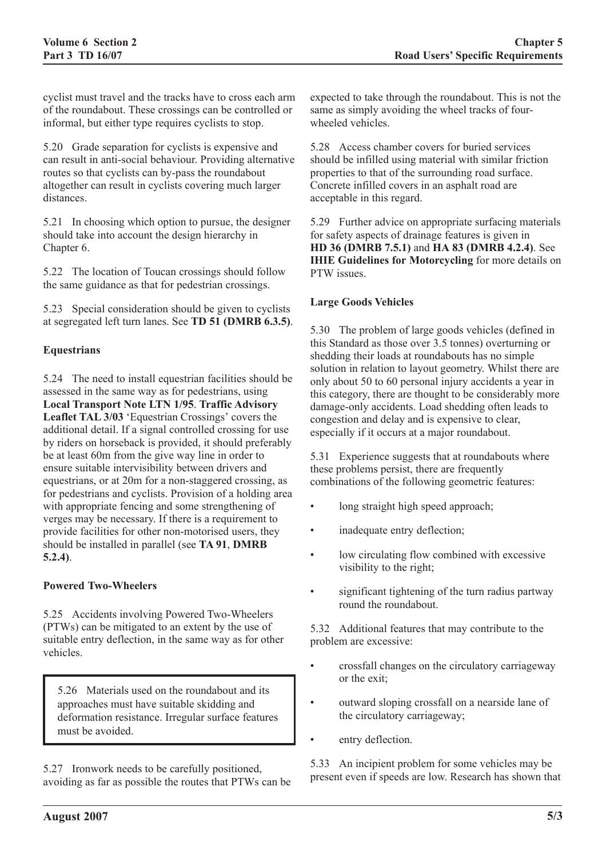cyclist must travel and the tracks have to cross each arm of the roundabout. These crossings can be controlled or informal, but either type requires cyclists to stop.

5.20 Grade separation for cyclists is expensive and can result in anti-social behaviour. Providing alternative routes so that cyclists can by-pass the roundabout altogether can result in cyclists covering much larger distances.

5.21 In choosing which option to pursue, the designer should take into account the design hierarchy in Chapter 6.

5.22 The location of Toucan crossings should follow the same guidance as that for pedestrian crossings.

5.23 Special consideration should be given to cyclists at segregated left turn lanes. See **TD 51 (DMRB 6.3.5)**.

# **Equestrians**

5.24 The need to install equestrian facilities should be assessed in the same way as for pedestrians, using **Local Transport Note LTN 1/95**. **Traffic Advisory Leaflet TAL 3/03** 'Equestrian Crossings' covers the additional detail. If a signal controlled crossing for use by riders on horseback is provided, it should preferably be at least 60m from the give way line in order to ensure suitable intervisibility between drivers and equestrians, or at 20m for a non-staggered crossing, as for pedestrians and cyclists. Provision of a holding area with appropriate fencing and some strengthening of verges may be necessary. If there is a requirement to provide facilities for other non-motorised users, they should be installed in parallel (see **TA 91**, **DMRB 5.2.4)**.

### **Powered Two-Wheelers**

5.25 Accidents involving Powered Two-Wheelers (PTWs) can be mitigated to an extent by the use of suitable entry deflection, in the same way as for other vehicles.

5.26 Materials used on the roundabout and its approaches must have suitable skidding and deformation resistance. Irregular surface features must be avoided.

5.27 Ironwork needs to be carefully positioned, avoiding as far as possible the routes that PTWs can be expected to take through the roundabout. This is not the same as simply avoiding the wheel tracks of fourwheeled vehicles.

5.28 Access chamber covers for buried services should be infilled using material with similar friction properties to that of the surrounding road surface. Concrete infilled covers in an asphalt road are acceptable in this regard.

5.29 Further advice on appropriate surfacing materials for safety aspects of drainage features is given in **HD 36 (DMRB 7.5.1)** and **HA 83 (DMRB 4.2.4)**. See **IHIE Guidelines for Motorcycling** for more details on PTW issues.

### **Large Goods Vehicles**

5.30 The problem of large goods vehicles (defined in this Standard as those over 3.5 tonnes) overturning or shedding their loads at roundabouts has no simple solution in relation to layout geometry. Whilst there are only about 50 to 60 personal injury accidents a year in this category, there are thought to be considerably more damage-only accidents. Load shedding often leads to congestion and delay and is expensive to clear, especially if it occurs at a major roundabout.

5.31 Experience suggests that at roundabouts where these problems persist, there are frequently combinations of the following geometric features:

- long straight high speed approach;
- inadequate entry deflection;
- low circulating flow combined with excessive visibility to the right;
- significant tightening of the turn radius partway round the roundabout.

5.32 Additional features that may contribute to the problem are excessive:

- crossfall changes on the circulatory carriageway or the exit;
- outward sloping crossfall on a nearside lane of the circulatory carriageway;
- entry deflection.

5.33 An incipient problem for some vehicles may be present even if speeds are low. Research has shown that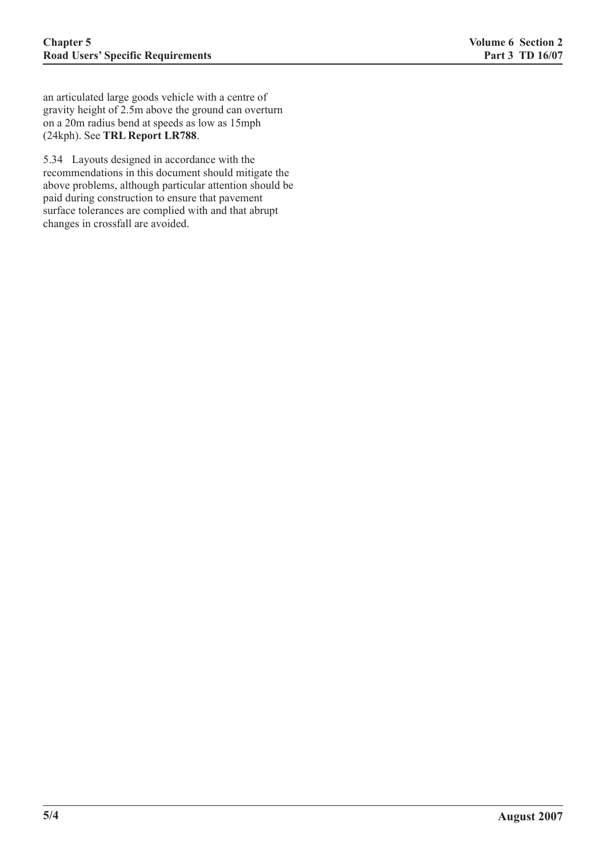an articulated large goods vehicle with a centre of gravity height of 2.5m above the ground can overturn on a 20m radius bend at speeds as low as 15mph (24kph). See **TRL Report LR788**.

5.34 Layouts designed in accordance with the recommendations in this document should mitigate the above problems, although particular attention should be paid during construction to ensure that pavement surface tolerances are complied with and that abrupt changes in crossfall are avoided.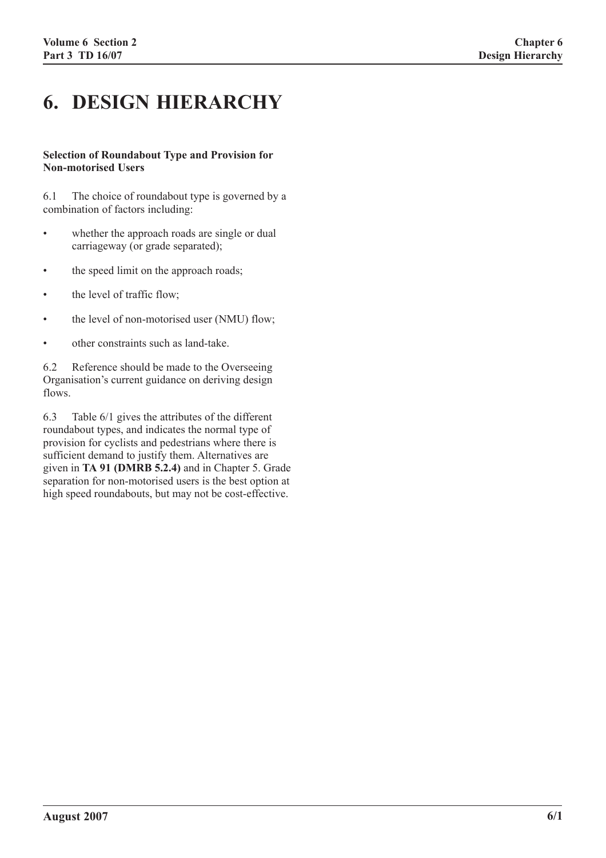# **6. DESIGN HIERARCHY**

#### **Selection of Roundabout Type and Provision for Non-motorised Users**

6.1 The choice of roundabout type is governed by a combination of factors including:

- whether the approach roads are single or dual carriageway (or grade separated);
- the speed limit on the approach roads;
- the level of traffic flow;
- the level of non-motorised user (NMU) flow;
- other constraints such as land-take.

6.2 Reference should be made to the Overseeing Organisation's current guidance on deriving design flows.

6.3 Table 6/1 gives the attributes of the different roundabout types, and indicates the normal type of provision for cyclists and pedestrians where there is sufficient demand to justify them. Alternatives are given in **TA 91 (DMRB 5.2.4)** and in Chapter 5. Grade separation for non-motorised users is the best option at high speed roundabouts, but may not be cost-effective.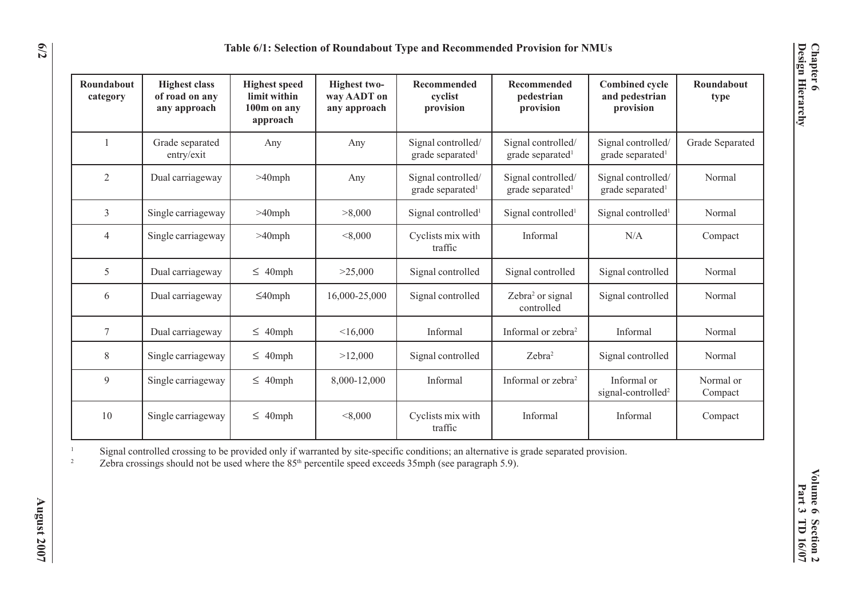| Table 6/1: Selection of Roundabout Type and Recommended Provision for NMUs |                                                        |                                                                 |                                             |                                                    |                                                    |                                                      |                      |
|----------------------------------------------------------------------------|--------------------------------------------------------|-----------------------------------------------------------------|---------------------------------------------|----------------------------------------------------|----------------------------------------------------|------------------------------------------------------|----------------------|
| Roundabout<br>category                                                     | <b>Highest class</b><br>of road on any<br>any approach | <b>Highest speed</b><br>limit within<br>100m on any<br>approach | Highest two-<br>way AADT on<br>any approach | Recommended<br>cyclist<br>provision                | <b>Recommended</b><br>pedestrian<br>provision      | <b>Combined cycle</b><br>and pedestrian<br>provision | Roundabout<br>type   |
|                                                                            | Grade separated<br>entry/exit                          | Any                                                             | Any                                         | Signal controlled/<br>grade separated <sup>1</sup> | Signal controlled/<br>grade separated <sup>1</sup> | Signal controlled/<br>grade separated <sup>1</sup>   | Grade Separated      |
| $\overline{2}$                                                             | Dual carriageway                                       | $>40$ mph                                                       | Any                                         | Signal controlled/<br>grade separated <sup>1</sup> | Signal controlled/<br>grade separated <sup>1</sup> | Signal controlled/<br>grade separated <sup>1</sup>   | Normal               |
| $\mathfrak{Z}$                                                             | Single carriageway                                     | $>40$ mph                                                       | >8,000                                      | Signal controlled <sup>1</sup>                     | Signal controlled <sup>1</sup>                     | Signal controlled <sup>1</sup>                       | Normal               |
| 4                                                                          | Single carriageway                                     | $>40$ mph                                                       | < 8,000                                     | Cyclists mix with<br>traffic                       | Informal                                           | N/A                                                  | Compact              |
| 5                                                                          | Dual carriageway                                       | $\leq$ 40mph                                                    | >25,000                                     | Signal controlled                                  | Signal controlled                                  | Signal controlled                                    | Normal               |
| 6                                                                          | Dual carriageway                                       | $\leq$ 40mph                                                    | 16,000-25,000                               | Signal controlled                                  | Zebra <sup>2</sup> or signal<br>controlled         | Signal controlled                                    | Normal               |
| 7                                                                          | Dual carriageway                                       | $\leq$ 40mph                                                    | <16,000                                     | Informal                                           | Informal or zebra <sup>2</sup>                     | Informal                                             | Normal               |
| 8                                                                          | Single carriageway                                     | $\leq$ 40mph                                                    | >12,000                                     | Signal controlled                                  | Zebra <sup>2</sup>                                 | Signal controlled                                    | Normal               |
| 9                                                                          | Single carriageway                                     | $\leq 40$ mph                                                   | 8,000-12,000                                | Informal                                           | Informal or zebra <sup>2</sup>                     | Informal or<br>signal-controlled <sup>2</sup>        | Normal or<br>Compact |
| 10                                                                         | Single carriageway                                     | $\leq$ 40mph                                                    | < 8,000                                     | Cyclists mix with<br>traffic                       | Informal                                           | Informal                                             | Compact              |

1 $\sim$  Signal controlled crossing to be provided only if warranted by site-specific conditions; an alternative is grade separated provision. 2

Zebra crossings should not be used where the  $85<sup>th</sup>$  percentile speed exceeds 35mph (see paragraph 5.9).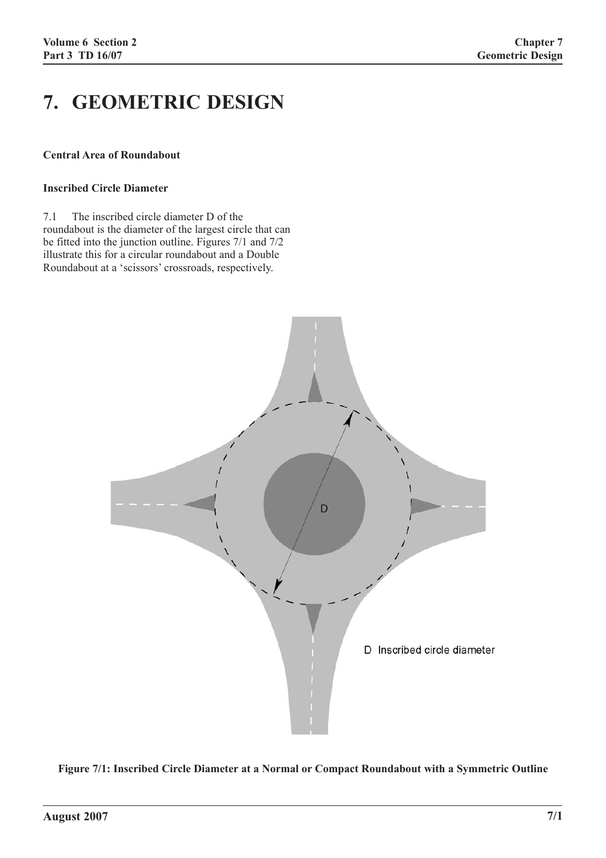# **7. GEOMETRIC DESIGN**

#### **Central Area of Roundabout**

# **Inscribed Circle Diameter**

7.1 The inscribed circle diameter D of the roundabout is the diameter of the largest circle that can be fitted into the junction outline. Figures 7/1 and 7/2 illustrate this for a circular roundabout and a Double Roundabout at a 'scissors' crossroads, respectively.



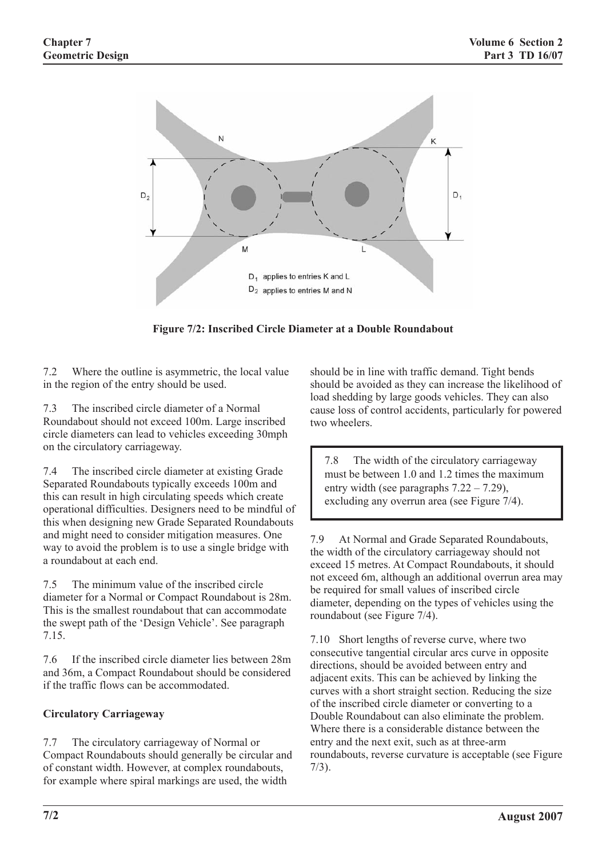

**Figure 7/2: Inscribed Circle Diameter at a Double Roundabout**

7.2 Where the outline is asymmetric, the local value in the region of the entry should be used.

7.3 The inscribed circle diameter of a Normal Roundabout should not exceed 100m. Large inscribed circle diameters can lead to vehicles exceeding 30mph on the circulatory carriageway.

7.4 The inscribed circle diameter at existing Grade Separated Roundabouts typically exceeds 100m and this can result in high circulating speeds which create operational difficulties. Designers need to be mindful of this when designing new Grade Separated Roundabouts and might need to consider mitigation measures. One way to avoid the problem is to use a single bridge with a roundabout at each end.

7.5 The minimum value of the inscribed circle diameter for a Normal or Compact Roundabout is 28m. This is the smallest roundabout that can accommodate the swept path of the 'Design Vehicle'. See paragraph 7.15.

7.6 If the inscribed circle diameter lies between 28m and 36m, a Compact Roundabout should be considered if the traffic flows can be accommodated.

# **Circulatory Carriageway**

7.7 The circulatory carriageway of Normal or Compact Roundabouts should generally be circular and of constant width. However, at complex roundabouts, for example where spiral markings are used, the width

should be in line with traffic demand. Tight bends should be avoided as they can increase the likelihood of load shedding by large goods vehicles. They can also cause loss of control accidents, particularly for powered two wheelers.

7.8 The width of the circulatory carriageway must be between 1.0 and 1.2 times the maximum entry width (see paragraphs 7.22 – 7.29), excluding any overrun area (see Figure 7/4).

7.9 At Normal and Grade Separated Roundabouts, the width of the circulatory carriageway should not exceed 15 metres. At Compact Roundabouts, it should not exceed 6m, although an additional overrun area may be required for small values of inscribed circle diameter, depending on the types of vehicles using the roundabout (see Figure 7/4).

7.10 Short lengths of reverse curve, where two consecutive tangential circular arcs curve in opposite directions, should be avoided between entry and adjacent exits. This can be achieved by linking the curves with a short straight section. Reducing the size of the inscribed circle diameter or converting to a Double Roundabout can also eliminate the problem. Where there is a considerable distance between the entry and the next exit, such as at three-arm roundabouts, reverse curvature is acceptable (see Figure 7/3).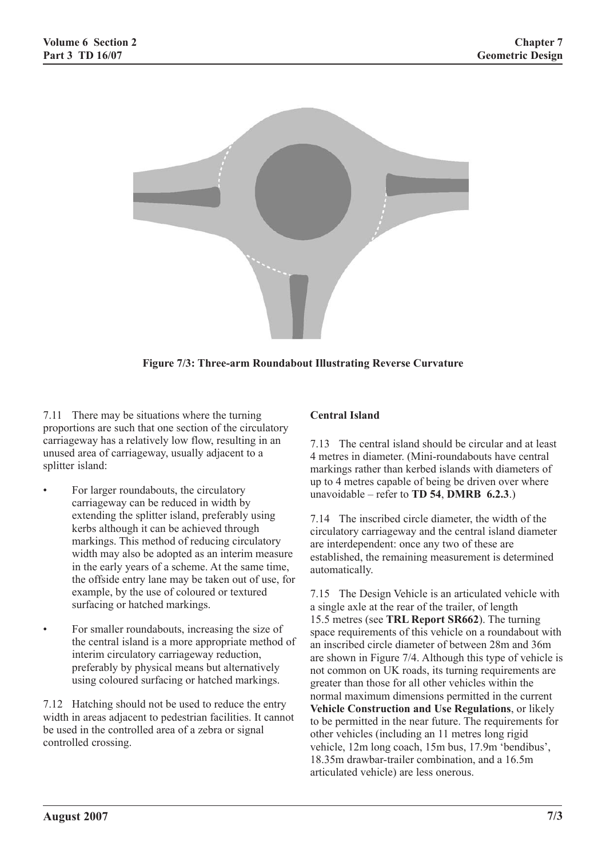

**Figure 7/3: Three-arm Roundabout Illustrating Reverse Curvature**

7.11 There may be situations where the turning proportions are such that one section of the circulatory carriageway has a relatively low flow, resulting in an unused area of carriageway, usually adjacent to a splitter island:

- For larger roundabouts, the circulatory carriageway can be reduced in width by extending the splitter island, preferably using kerbs although it can be achieved through markings. This method of reducing circulatory width may also be adopted as an interim measure in the early years of a scheme. At the same time, the offside entry lane may be taken out of use, for example, by the use of coloured or textured surfacing or hatched markings.
- For smaller roundabouts, increasing the size of the central island is a more appropriate method of interim circulatory carriageway reduction, preferably by physical means but alternatively using coloured surfacing or hatched markings.

7.12 Hatching should not be used to reduce the entry width in areas adjacent to pedestrian facilities. It cannot be used in the controlled area of a zebra or signal controlled crossing.

# **Central Island**

7.13 The central island should be circular and at least 4 metres in diameter. (Mini-roundabouts have central markings rather than kerbed islands with diameters of up to 4 metres capable of being be driven over where unavoidable – refer to **TD 54**, **DMRB 6.2.3**.)

7.14 The inscribed circle diameter, the width of the circulatory carriageway and the central island diameter are interdependent: once any two of these are established, the remaining measurement is determined automatically.

7.15 The Design Vehicle is an articulated vehicle with a single axle at the rear of the trailer, of length 15.5 metres (see **TRL Report SR662**). The turning space requirements of this vehicle on a roundabout with an inscribed circle diameter of between 28m and 36m are shown in Figure 7/4. Although this type of vehicle is not common on UK roads, its turning requirements are greater than those for all other vehicles within the normal maximum dimensions permitted in the current **Vehicle Construction and Use Regulations**, or likely to be permitted in the near future. The requirements for other vehicles (including an 11 metres long rigid vehicle, 12m long coach, 15m bus, 17.9m 'bendibus', 18.35m drawbar-trailer combination, and a 16.5m articulated vehicle) are less onerous.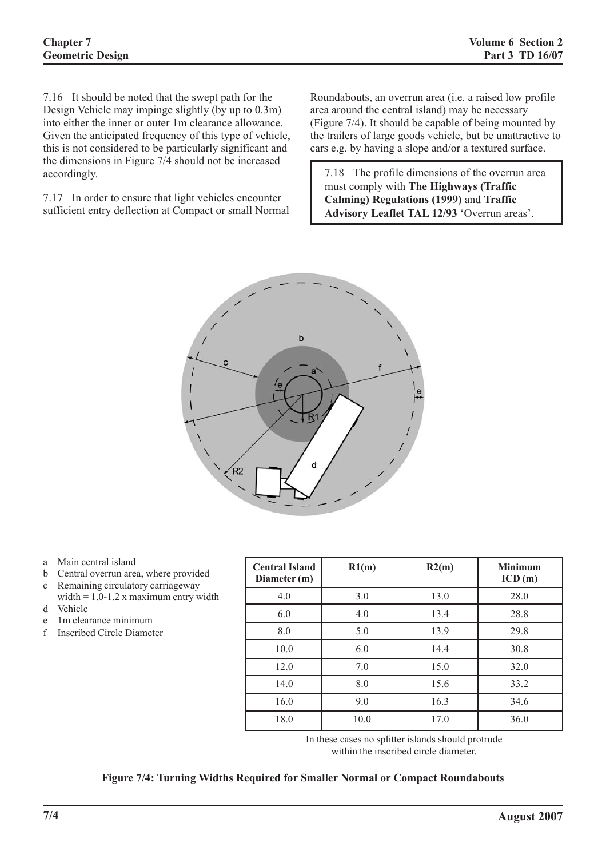7.16 It should be noted that the swept path for the Design Vehicle may impinge slightly (by up to 0.3m) into either the inner or outer 1m clearance allowance. Given the anticipated frequency of this type of vehicle, this is not considered to be particularly significant and the dimensions in Figure 7/4 should not be increased accordingly.

7.17 In order to ensure that light vehicles encounter sufficient entry deflection at Compact or small Normal

Roundabouts, an overrun area (i.e. a raised low profile area around the central island) may be necessary (Figure 7/4). It should be capable of being mounted by the trailers of large goods vehicle, but be unattractive to cars e.g. by having a slope and/or a textured surface.

7.18 The profile dimensions of the overrun area must comply with **The Highways (Traffic Calming) Regulations (1999)** and **Traffic Advisory Leaflet TAL 12/93** 'Overrun areas'.



- a Main central island
- b Central overrun area, where provided
- c Remaining circulatory carriageway width  $= 1.0 - 1.2$  x maximum entry width d Vehicle
- e 1m clearance minimum
- f Inscribed Circle Diameter

| <b>Central Island</b><br>Diameter (m) | R1(m) | R2(m) | <b>Minimum</b><br>ICD(m) |
|---------------------------------------|-------|-------|--------------------------|
| 4.0                                   | 3.0   | 13.0  | 28.0                     |
| 6.0                                   | 4.0   | 13.4  | 28.8                     |
| 8.0                                   | 5.0   | 13.9  | 29.8                     |
| 10.0                                  | 6.0   | 14.4  | 30.8                     |
| 12.0                                  | 7.0   | 15.0  | 32.0                     |
| 14.0                                  | 8.0   | 15.6  | 33.2                     |
| 16.0                                  | 9.0   | 16.3  | 34.6                     |
| 18.0                                  | 10.0  | 17.0  | 36.0                     |

In these cases no splitter islands should protrude within the inscribed circle diameter.

### **Figure 7/4: Turning Widths Required for Smaller Normal or Compact Roundabouts**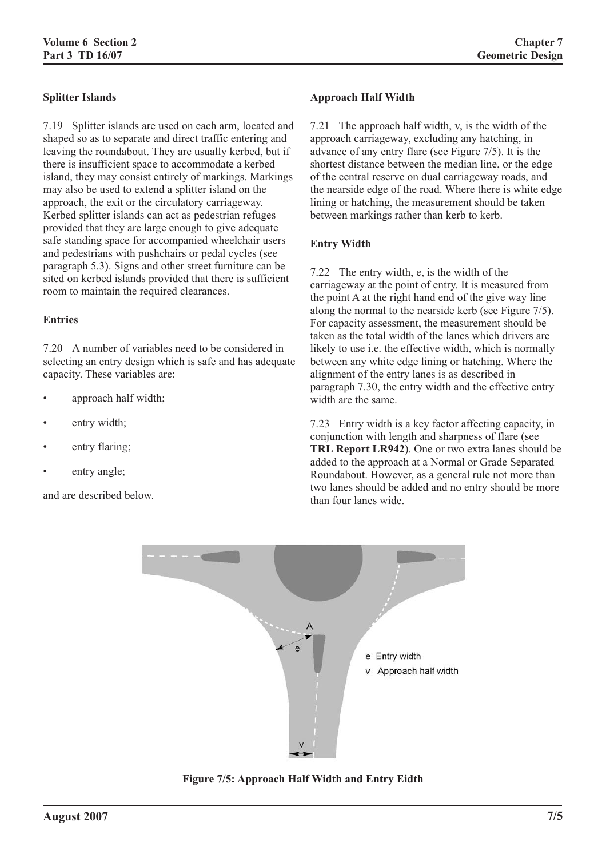# **Splitter Islands**

7.19 Splitter islands are used on each arm, located and shaped so as to separate and direct traffic entering and leaving the roundabout. They are usually kerbed, but if there is insufficient space to accommodate a kerbed island, they may consist entirely of markings. Markings may also be used to extend a splitter island on the approach, the exit or the circulatory carriageway. Kerbed splitter islands can act as pedestrian refuges provided that they are large enough to give adequate safe standing space for accompanied wheelchair users and pedestrians with pushchairs or pedal cycles (see paragraph 5.3). Signs and other street furniture can be sited on kerbed islands provided that there is sufficient room to maintain the required clearances.

#### **Entries**

7.20 A number of variables need to be considered in selecting an entry design which is safe and has adequate capacity. These variables are:

- approach half width:
- entry width;
- entry flaring;
- entry angle;

and are described below.

#### **Approach Half Width**

7.21 The approach half width, v, is the width of the approach carriageway, excluding any hatching, in advance of any entry flare (see Figure 7/5). It is the shortest distance between the median line, or the edge of the central reserve on dual carriageway roads, and the nearside edge of the road. Where there is white edge lining or hatching, the measurement should be taken between markings rather than kerb to kerb.

#### **Entry Width**

7.22 The entry width, e, is the width of the carriageway at the point of entry. It is measured from the point A at the right hand end of the give way line along the normal to the nearside kerb (see Figure 7/5). For capacity assessment, the measurement should be taken as the total width of the lanes which drivers are likely to use i.e. the effective width, which is normally between any white edge lining or hatching. Where the alignment of the entry lanes is as described in paragraph 7.30, the entry width and the effective entry width are the same.

7.23 Entry width is a key factor affecting capacity, in conjunction with length and sharpness of flare (see **TRL Report LR942**). One or two extra lanes should be added to the approach at a Normal or Grade Separated Roundabout. However, as a general rule not more than two lanes should be added and no entry should be more than four lanes wide.



**Figure 7/5: Approach Half Width and Entry Eidth**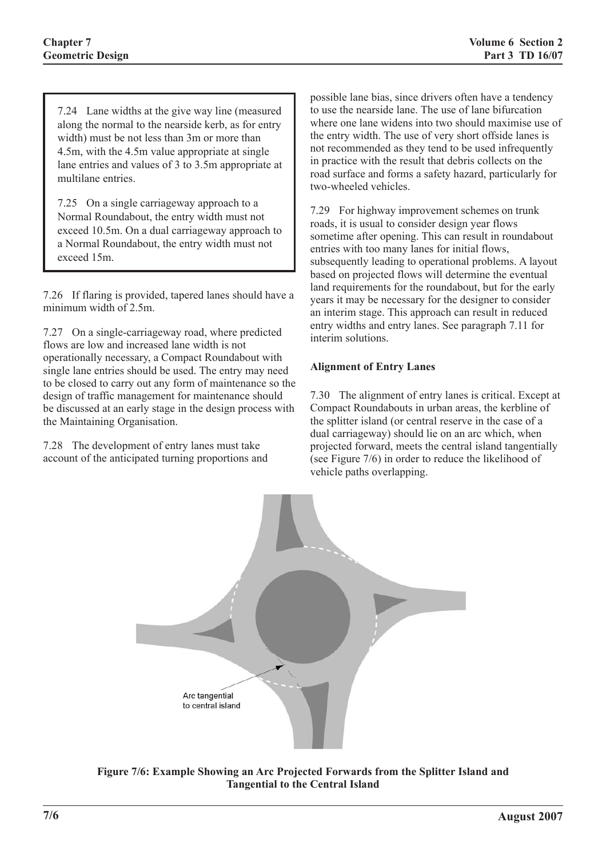7.24 Lane widths at the give way line (measured along the normal to the nearside kerb, as for entry width) must be not less than 3m or more than 4.5m, with the 4.5m value appropriate at single lane entries and values of 3 to 3.5m appropriate at multilane entries.

7.25 On a single carriageway approach to a Normal Roundabout, the entry width must not exceed 10.5m. On a dual carriageway approach to a Normal Roundabout, the entry width must not exceed 15m.

7.26 If flaring is provided, tapered lanes should have a minimum width of 2.5m.

7.27 On a single-carriageway road, where predicted flows are low and increased lane width is not operationally necessary, a Compact Roundabout with single lane entries should be used. The entry may need to be closed to carry out any form of maintenance so the design of traffic management for maintenance should be discussed at an early stage in the design process with the Maintaining Organisation.

7.28 The development of entry lanes must take account of the anticipated turning proportions and

possible lane bias, since drivers often have a tendency to use the nearside lane. The use of lane bifurcation where one lane widens into two should maximise use of the entry width. The use of very short offside lanes is not recommended as they tend to be used infrequently in practice with the result that debris collects on the road surface and forms a safety hazard, particularly for two-wheeled vehicles.

7.29 For highway improvement schemes on trunk roads, it is usual to consider design year flows sometime after opening. This can result in roundabout entries with too many lanes for initial flows, subsequently leading to operational problems. A layout based on projected flows will determine the eventual land requirements for the roundabout, but for the early years it may be necessary for the designer to consider an interim stage. This approach can result in reduced entry widths and entry lanes. See paragraph 7.11 for interim solutions.

# **Alignment of Entry Lanes**

7.30 The alignment of entry lanes is critical. Except at Compact Roundabouts in urban areas, the kerbline of the splitter island (or central reserve in the case of a dual carriageway) should lie on an arc which, when projected forward, meets the central island tangentially (see Figure 7/6) in order to reduce the likelihood of vehicle paths overlapping.



**Figure 7/6: Example Showing an Arc Projected Forwards from the Splitter Island and Tangential to the Central Island**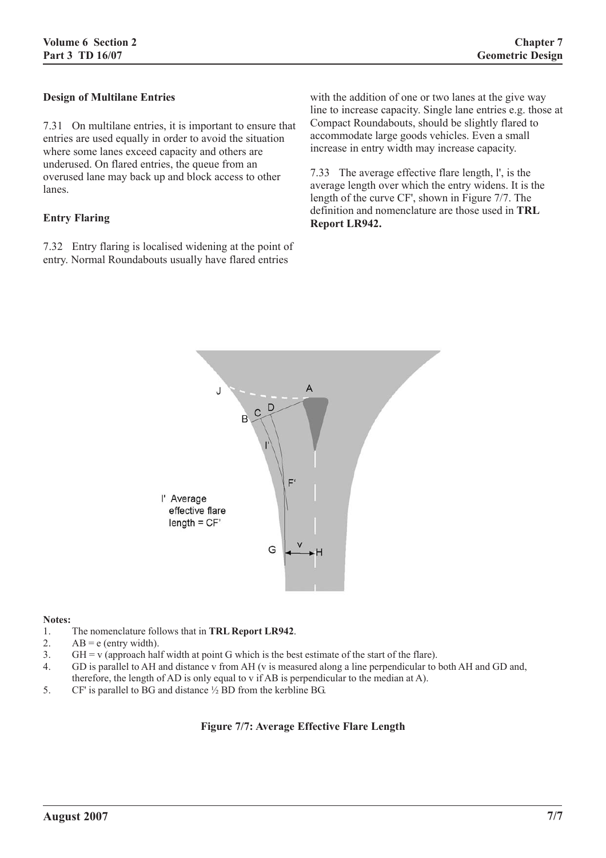#### **Design of Multilane Entries**

7.31 On multilane entries, it is important to ensure that entries are used equally in order to avoid the situation where some lanes exceed capacity and others are underused. On flared entries, the queue from an overused lane may back up and block access to other lanes.

#### **Entry Flaring**

7.32 Entry flaring is localised widening at the point of entry. Normal Roundabouts usually have flared entries

with the addition of one or two lanes at the give way line to increase capacity. Single lane entries e.g. those at Compact Roundabouts, should be slightly flared to accommodate large goods vehicles. Even a small increase in entry width may increase capacity.

7.33 The average effective flare length, l', is the average length over which the entry widens. It is the length of the curve CF', shown in Figure 7/7. The definition and nomenclature are those used in **TRL Report LR942.**



#### **Notes:**

- 1. The nomenclature follows that in **TRL Report LR942**.
- 2.  $AB = e$  (entry width).
- 3. GH =  $\upsilon$  (approach half width at point G which is the best estimate of the start of the flare).
- 4. GD is parallel to AH and distance v from AH (v is measured along a line perpendicular to both AH and GD and, therefore, the length of AD is only equal to v if AB is perpendicular to the median at A).
- 5. CF' is parallel to BG and distance ½ BD from the kerbline BG.

### **Figure 7/7: Average Effective Flare Length**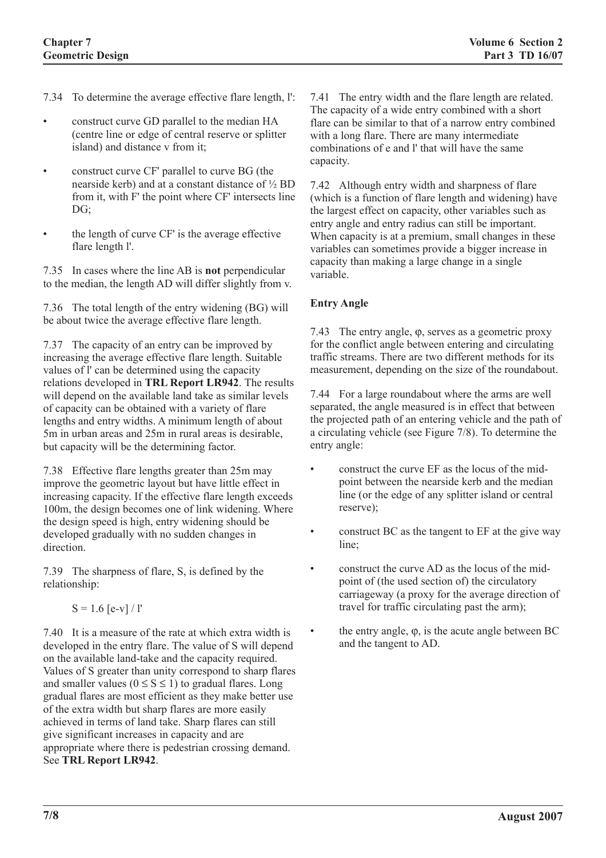- 7.34 To determine the average effective flare length, l':
- construct curve GD parallel to the median HA (centre line or edge of central reserve or splitter island) and distance v from it;
- construct curve CF' parallel to curve BG (the nearside kerb) and at a constant distance of ½ BD from it, with F' the point where CF' intersects line  $DG:$
- the length of curve CF' is the average effective flare length l'.

7.35 In cases where the line AB is **not** perpendicular to the median, the length AD will differ slightly from v.

7.36 The total length of the entry widening (BG) will be about twice the average effective flare length.

7.37 The capacity of an entry can be improved by increasing the average effective flare length. Suitable values of l' can be determined using the capacity relations developed in **TRL Report LR942**. The results will depend on the available land take as similar levels of capacity can be obtained with a variety of flare lengths and entry widths. A minimum length of about 5m in urban areas and 25m in rural areas is desirable, but capacity will be the determining factor.

7.38 Effective flare lengths greater than 25m may improve the geometric layout but have little effect in increasing capacity. If the effective flare length exceeds 100m, the design becomes one of link widening. Where the design speed is high, entry widening should be developed gradually with no sudden changes in direction.

7.39 The sharpness of flare, S, is defined by the relationship:

 $S = 1.6$  [e-v] / l'

7.40 It is a measure of the rate at which extra width is developed in the entry flare. The value of S will depend on the available land-take and the capacity required. Values of S greater than unity correspond to sharp flares and smaller values ( $0 \le S \le 1$ ) to gradual flares. Long gradual flares are most efficient as they make better use of the extra width but sharp flares are more easily achieved in terms of land take. Sharp flares can still give significant increases in capacity and are appropriate where there is pedestrian crossing demand. See **TRL Report LR942**.

7.41 The entry width and the flare length are related. The capacity of a wide entry combined with a short flare can be similar to that of a narrow entry combined with a long flare. There are many intermediate combinations of e and l' that will have the same capacity.

7.42 Although entry width and sharpness of flare (which is a function of flare length and widening) have the largest effect on capacity, other variables such as entry angle and entry radius can still be important. When capacity is at a premium, small changes in these variables can sometimes provide a bigger increase in capacity than making a large change in a single variable.

# **Entry Angle**

7.43 The entry angle, ϕ, serves as a geometric proxy for the conflict angle between entering and circulating traffic streams. There are two different methods for its measurement, depending on the size of the roundabout.

7.44 For a large roundabout where the arms are well separated, the angle measured is in effect that between the projected path of an entering vehicle and the path of a circulating vehicle (see Figure 7/8). To determine the entry angle:

- construct the curve EF as the locus of the midpoint between the nearside kerb and the median line (or the edge of any splitter island or central reserve);
- construct BC as the tangent to EF at the give way line;
- construct the curve AD as the locus of the midpoint of (the used section of) the circulatory carriageway (a proxy for the average direction of travel for traffic circulating past the arm);
- the entry angle,  $φ$ , is the acute angle between BC and the tangent to AD.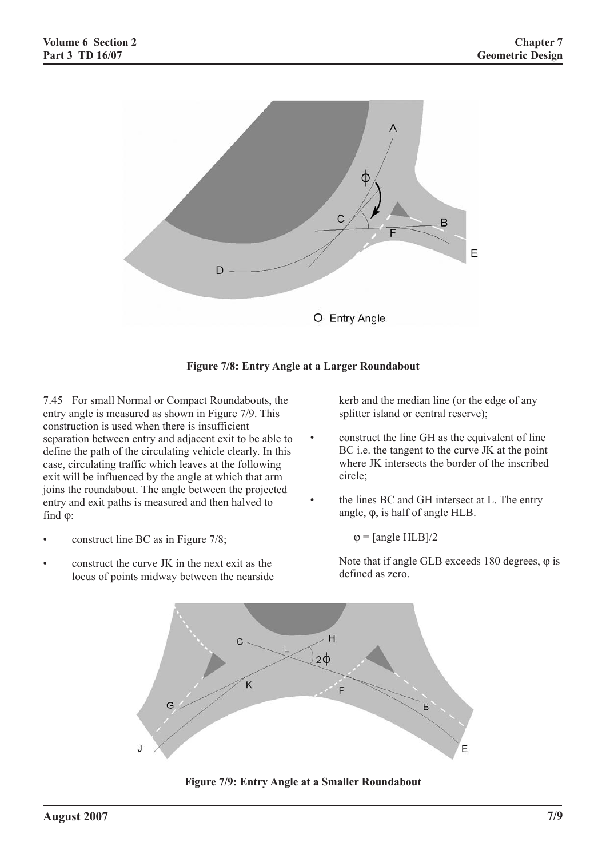



7.45 For small Normal or Compact Roundabouts, the entry angle is measured as shown in Figure 7/9. This construction is used when there is insufficient separation between entry and adjacent exit to be able to define the path of the circulating vehicle clearly. In this case, circulating traffic which leaves at the following exit will be influenced by the angle at which that arm joins the roundabout. The angle between the projected entry and exit paths is measured and then halved to find ϕ:

- construct line BC as in Figure 7/8;
- construct the curve JK in the next exit as the locus of points midway between the nearside

kerb and the median line (or the edge of any splitter island or central reserve);

- construct the line GH as the equivalent of line BC i.e. the tangent to the curve JK at the point where JK intersects the border of the inscribed circle;
- the lines BC and GH intersect at L. The entry angle, ϕ, is half of angle HLB.

 $\varphi$  = [angle HLB]/2

Note that if angle GLB exceeds 180 degrees,  $\varphi$  is defined as zero.



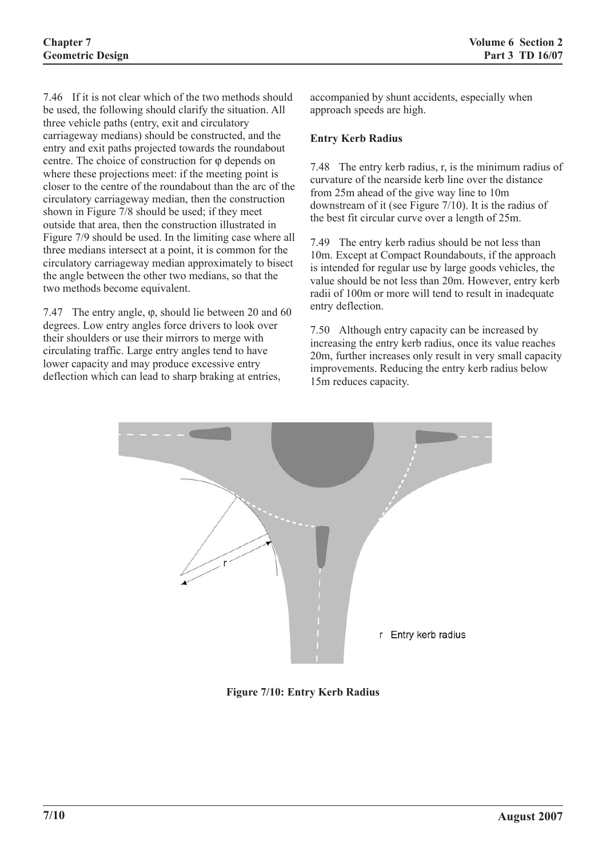7.46 If it is not clear which of the two methods should be used, the following should clarify the situation. All three vehicle paths (entry, exit and circulatory carriageway medians) should be constructed, and the entry and exit paths projected towards the roundabout centre. The choice of construction for φ depends on where these projections meet: if the meeting point is closer to the centre of the roundabout than the arc of the circulatory carriageway median, then the construction shown in Figure 7/8 should be used; if they meet outside that area, then the construction illustrated in Figure 7/9 should be used. In the limiting case where all three medians intersect at a point, it is common for the circulatory carriageway median approximately to bisect the angle between the other two medians, so that the two methods become equivalent.

7.47 The entry angle, ϕ, should lie between 20 and 60 degrees. Low entry angles force drivers to look over their shoulders or use their mirrors to merge with circulating traffic. Large entry angles tend to have lower capacity and may produce excessive entry deflection which can lead to sharp braking at entries,

accompanied by shunt accidents, especially when approach speeds are high.

#### **Entry Kerb Radius**

7.48 The entry kerb radius, r, is the minimum radius of curvature of the nearside kerb line over the distance from 25m ahead of the give way line to 10m downstream of it (see Figure 7/10). It is the radius of the best fit circular curve over a length of 25m.

7.49 The entry kerb radius should be not less than 10m. Except at Compact Roundabouts, if the approach is intended for regular use by large goods vehicles, the value should be not less than 20m. However, entry kerb radii of 100m or more will tend to result in inadequate entry deflection.

7.50 Although entry capacity can be increased by increasing the entry kerb radius, once its value reaches 20m, further increases only result in very small capacity improvements. Reducing the entry kerb radius below 15m reduces capacity.



**Figure 7/10: Entry Kerb Radius**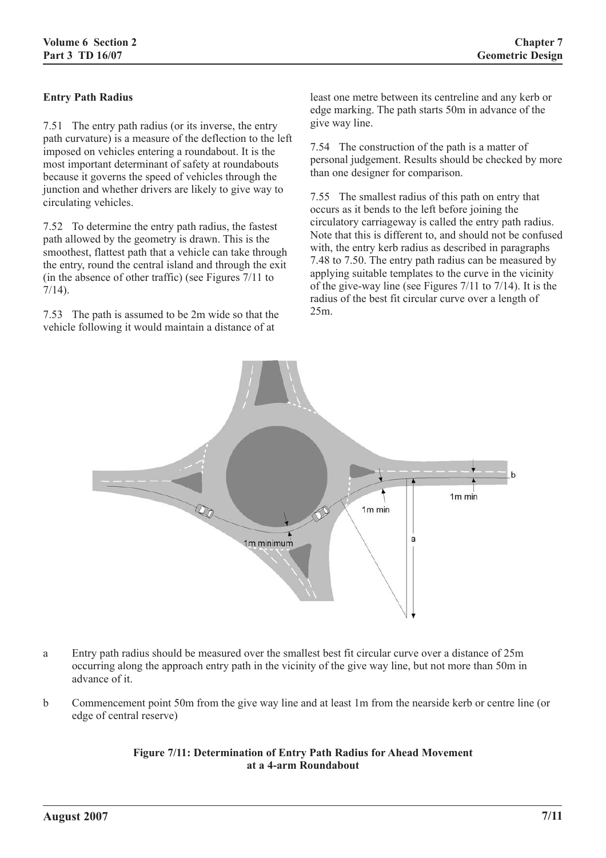# **Entry Path Radius**

7.51 The entry path radius (or its inverse, the entry path curvature) is a measure of the deflection to the left imposed on vehicles entering a roundabout. It is the most important determinant of safety at roundabouts because it governs the speed of vehicles through the junction and whether drivers are likely to give way to circulating vehicles.

7.52 To determine the entry path radius, the fastest path allowed by the geometry is drawn. This is the smoothest, flattest path that a vehicle can take through the entry, round the central island and through the exit (in the absence of other traffic) (see Figures 7/11 to 7/14).

7.53 The path is assumed to be 2m wide so that the vehicle following it would maintain a distance of at

least one metre between its centreline and any kerb or edge marking. The path starts 50m in advance of the give way line.

7.54 The construction of the path is a matter of personal judgement. Results should be checked by more than one designer for comparison.

7.55 The smallest radius of this path on entry that occurs as it bends to the left before joining the circulatory carriageway is called the entry path radius. Note that this is different to, and should not be confused with, the entry kerb radius as described in paragraphs 7.48 to 7.50. The entry path radius can be measured by applying suitable templates to the curve in the vicinity of the give-way line (see Figures 7/11 to 7/14). It is the radius of the best fit circular curve over a length of 25m.



- a Entry path radius should be measured over the smallest best fit circular curve over a distance of 25m occurring along the approach entry path in the vicinity of the give way line, but not more than 50m in advance of it.
- b Commencement point 50m from the give way line and at least 1m from the nearside kerb or centre line (or edge of central reserve)

### **Figure 7/11: Determination of Entry Path Radius for Ahead Movement at a 4-arm Roundabout**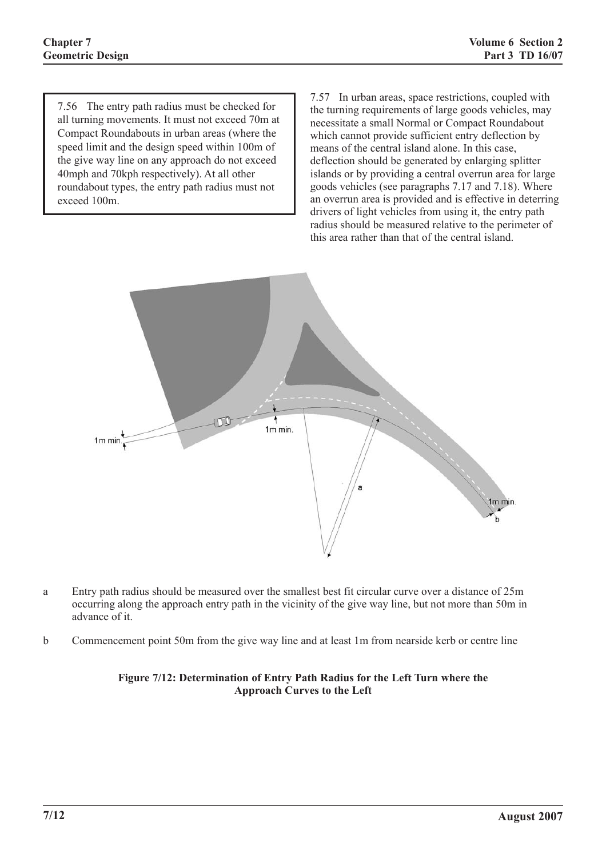7.56 The entry path radius must be checked for all turning movements. It must not exceed 70m at Compact Roundabouts in urban areas (where the speed limit and the design speed within 100m of the give way line on any approach do not exceed 40mph and 70kph respectively). At all other roundabout types, the entry path radius must not exceed 100m.

7.57 In urban areas, space restrictions, coupled with the turning requirements of large goods vehicles, may necessitate a small Normal or Compact Roundabout which cannot provide sufficient entry deflection by means of the central island alone. In this case, deflection should be generated by enlarging splitter islands or by providing a central overrun area for large goods vehicles (see paragraphs 7.17 and 7.18). Where an overrun area is provided and is effective in deterring drivers of light vehicles from using it, the entry path radius should be measured relative to the perimeter of this area rather than that of the central island.



- a Entry path radius should be measured over the smallest best fit circular curve over a distance of 25m occurring along the approach entry path in the vicinity of the give way line, but not more than 50m in advance of it.
- b Commencement point 50m from the give way line and at least 1m from nearside kerb or centre line

### **Figure 7/12: Determination of Entry Path Radius for the Left Turn where the Approach Curves to the Left**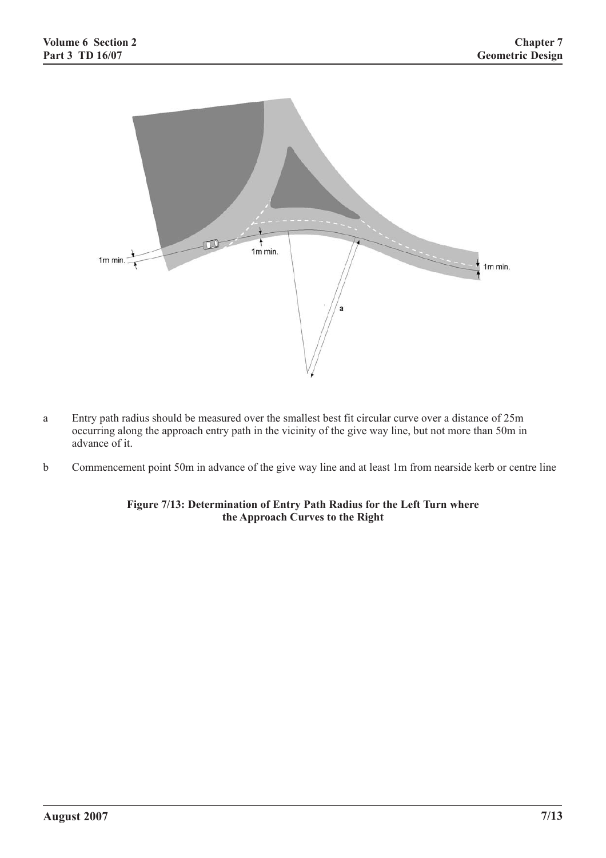

- a Entry path radius should be measured over the smallest best fit circular curve over a distance of 25m occurring along the approach entry path in the vicinity of the give way line, but not more than 50m in advance of it.
- b Commencement point 50m in advance of the give way line and at least 1m from nearside kerb or centre line

### **Figure 7/13: Determination of Entry Path Radius for the Left Turn where the Approach Curves to the Right**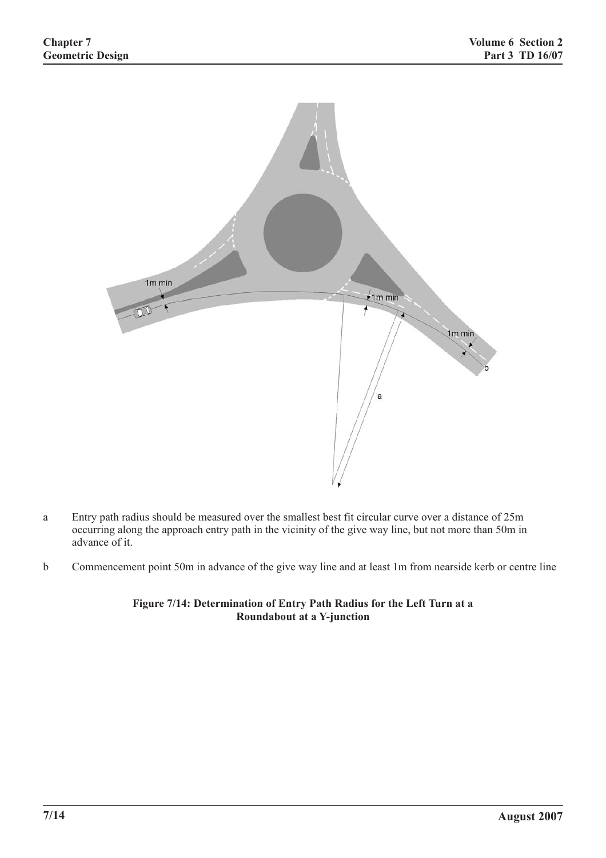

- a Entry path radius should be measured over the smallest best fit circular curve over a distance of 25m occurring along the approach entry path in the vicinity of the give way line, but not more than 50m in advance of it.
- b Commencement point 50m in advance of the give way line and at least 1m from nearside kerb or centre line

**Figure 7/14: Determination of Entry Path Radius for the Left Turn at a Roundabout at a Y-junction**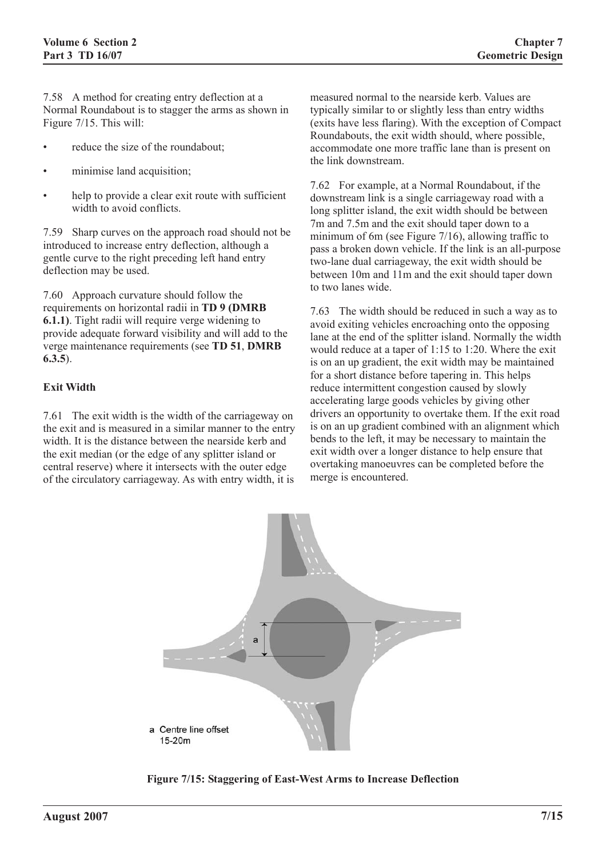7.58 A method for creating entry deflection at a Normal Roundabout is to stagger the arms as shown in Figure 7/15. This will:

- reduce the size of the roundabout;
- minimise land acquisition;
- help to provide a clear exit route with sufficient width to avoid conflicts.

7.59 Sharp curves on the approach road should not be introduced to increase entry deflection, although a gentle curve to the right preceding left hand entry deflection may be used.

7.60 Approach curvature should follow the requirements on horizontal radii in **TD 9 (DMRB 6.1.1)**. Tight radii will require verge widening to provide adequate forward visibility and will add to the verge maintenance requirements (see **TD 51**, **DMRB 6.3.5**).

#### **Exit Width**

7.61 The exit width is the width of the carriageway on the exit and is measured in a similar manner to the entry width. It is the distance between the nearside kerb and the exit median (or the edge of any splitter island or central reserve) where it intersects with the outer edge of the circulatory carriageway. As with entry width, it is

measured normal to the nearside kerb. Values are typically similar to or slightly less than entry widths (exits have less flaring). With the exception of Compact Roundabouts, the exit width should, where possible, accommodate one more traffic lane than is present on the link downstream.

7.62 For example, at a Normal Roundabout, if the downstream link is a single carriageway road with a long splitter island, the exit width should be between 7m and 7.5m and the exit should taper down to a minimum of 6m (see Figure 7/16), allowing traffic to pass a broken down vehicle. If the link is an all-purpose two-lane dual carriageway, the exit width should be between 10m and 11m and the exit should taper down to two lanes wide.

7.63 The width should be reduced in such a way as to avoid exiting vehicles encroaching onto the opposing lane at the end of the splitter island. Normally the width would reduce at a taper of 1:15 to 1:20. Where the exit is on an up gradient, the exit width may be maintained for a short distance before tapering in. This helps reduce intermittent congestion caused by slowly accelerating large goods vehicles by giving other drivers an opportunity to overtake them. If the exit road is on an up gradient combined with an alignment which bends to the left, it may be necessary to maintain the exit width over a longer distance to help ensure that overtaking manoeuvres can be completed before the merge is encountered.



**Figure 7/15: Staggering of East-West Arms to Increase Deflection**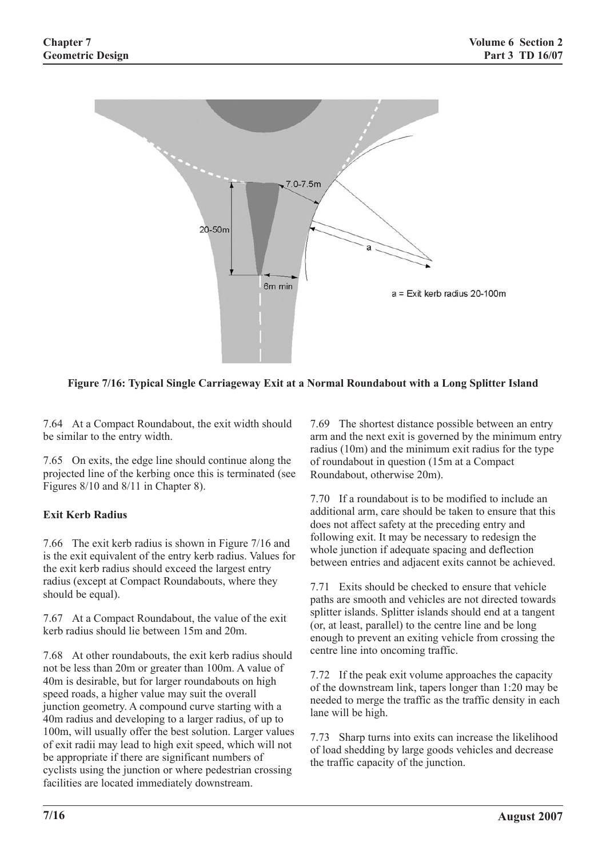

**Figure 7/16: Typical Single Carriageway Exit at a Normal Roundabout with a Long Splitter Island**

7.64 At a Compact Roundabout, the exit width should be similar to the entry width.

7.65 On exits, the edge line should continue along the projected line of the kerbing once this is terminated (see Figures 8/10 and 8/11 in Chapter 8).

# **Exit Kerb Radius**

7.66 The exit kerb radius is shown in Figure 7/16 and is the exit equivalent of the entry kerb radius. Values for the exit kerb radius should exceed the largest entry radius (except at Compact Roundabouts, where they should be equal).

7.67 At a Compact Roundabout, the value of the exit kerb radius should lie between 15m and 20m.

7.68 At other roundabouts, the exit kerb radius should not be less than 20m or greater than 100m. A value of 40m is desirable, but for larger roundabouts on high speed roads, a higher value may suit the overall junction geometry. A compound curve starting with a 40m radius and developing to a larger radius, of up to 100m, will usually offer the best solution. Larger values of exit radii may lead to high exit speed, which will not be appropriate if there are significant numbers of cyclists using the junction or where pedestrian crossing facilities are located immediately downstream.

7.69 The shortest distance possible between an entry arm and the next exit is governed by the minimum entry radius (10m) and the minimum exit radius for the type of roundabout in question (15m at a Compact Roundabout, otherwise 20m).

7.70 If a roundabout is to be modified to include an additional arm, care should be taken to ensure that this does not affect safety at the preceding entry and following exit. It may be necessary to redesign the whole junction if adequate spacing and deflection between entries and adjacent exits cannot be achieved.

7.71 Exits should be checked to ensure that vehicle paths are smooth and vehicles are not directed towards splitter islands. Splitter islands should end at a tangent (or, at least, parallel) to the centre line and be long enough to prevent an exiting vehicle from crossing the centre line into oncoming traffic.

7.72 If the peak exit volume approaches the capacity of the downstream link, tapers longer than 1:20 may be needed to merge the traffic as the traffic density in each lane will be high.

7.73 Sharp turns into exits can increase the likelihood of load shedding by large goods vehicles and decrease the traffic capacity of the junction.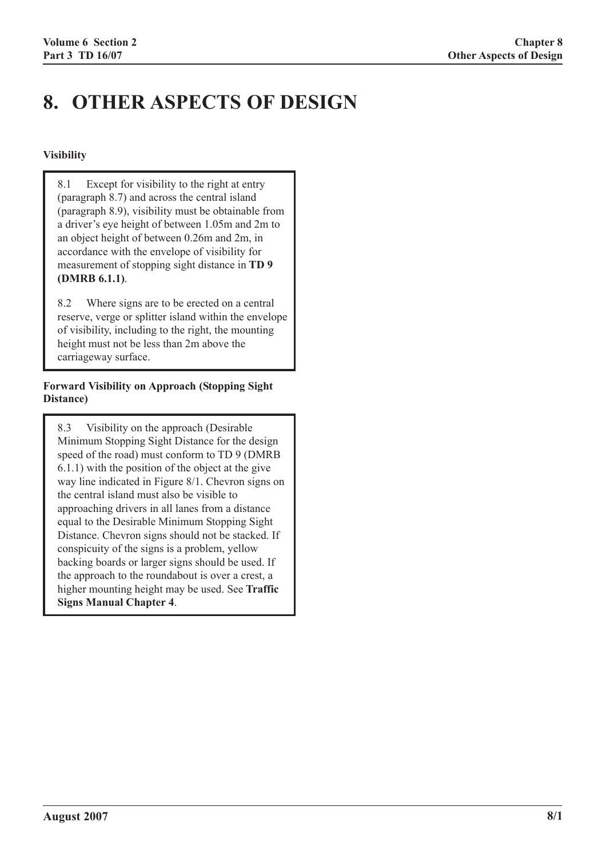# **8. OTHER ASPECTS OF DESIGN**

# **Visibility**

8.1 Except for visibility to the right at entry (paragraph 8.7) and across the central island (paragraph 8.9), visibility must be obtainable from a driver's eye height of between 1.05m and 2m to an object height of between 0.26m and 2m, in accordance with the envelope of visibility for measurement of stopping sight distance in **TD 9 (DMRB 6.1.1)**.

8.2 Where signs are to be erected on a central reserve, verge or splitter island within the envelope of visibility, including to the right, the mounting height must not be less than 2m above the carriageway surface.

### **Forward Visibility on Approach (Stopping Sight Distance)**

8.3 Visibility on the approach (Desirable Minimum Stopping Sight Distance for the design speed of the road) must conform to TD 9 (DMRB 6.1.1) with the position of the object at the give way line indicated in Figure 8/1. Chevron signs on the central island must also be visible to approaching drivers in all lanes from a distance equal to the Desirable Minimum Stopping Sight Distance. Chevron signs should not be stacked. If conspicuity of the signs is a problem, yellow backing boards or larger signs should be used. If the approach to the roundabout is over a crest, a higher mounting height may be used. See **Traffic Signs Manual Chapter 4**.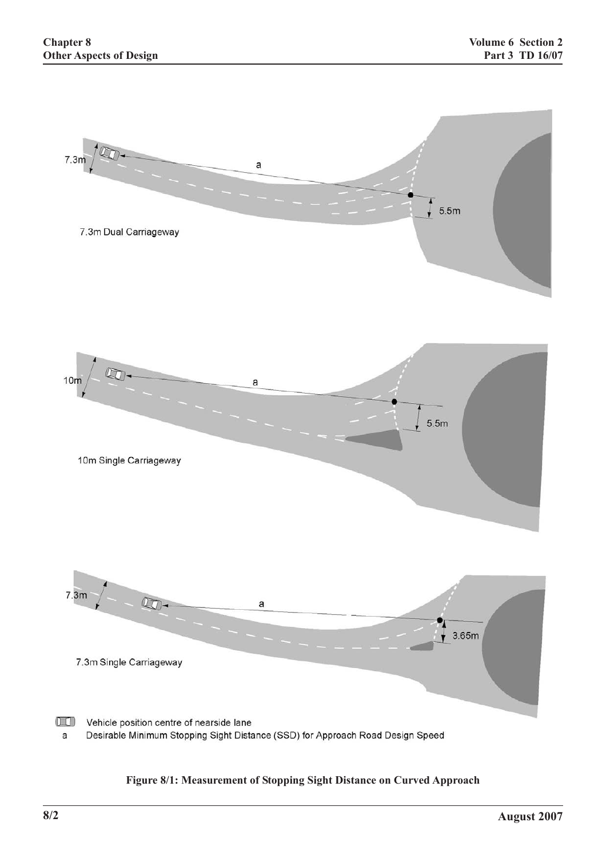

# **Figure 8/1: Measurement of Stopping Sight Distance on Curved Approach**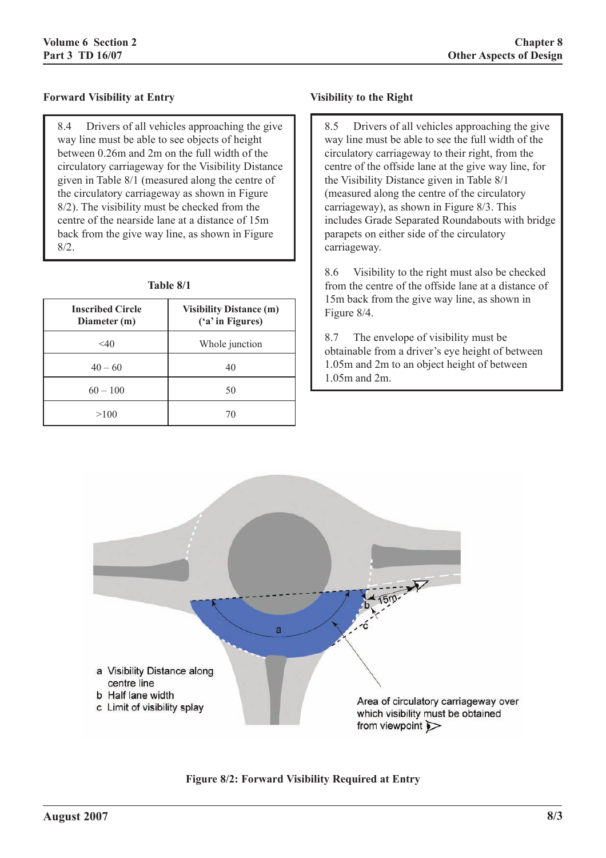### **Forward Visibility at Entry**

8.4 Drivers of all vehicles approaching the give way line must be able to see objects of height between 0.26m and 2m on the full width of the circulatory carriageway for the Visibility Distance given in Table 8/1 (measured along the centre of the circulatory carriageway as shown in Figure 8/2). The visibility must be checked from the centre of the nearside lane at a distance of 15m back from the give way line, as shown in Figure 8/2.

|  | Table 8/1 |  |
|--|-----------|--|
|  |           |  |

| <b>Inscribed Circle</b><br>Diameter (m) | <b>Visibility Distance (m)</b><br>('a' in Figures) |
|-----------------------------------------|----------------------------------------------------|
| $<$ 40                                  | Whole junction                                     |
| $40 - 60$                               | 40                                                 |
| $60 - 100$                              | 50                                                 |
| >100                                    | 70                                                 |

#### **Visibility to the Right**

8.5 Drivers of all vehicles approaching the give way line must be able to see the full width of the circulatory carriageway to their right, from the centre of the offside lane at the give way line, for the Visibility Distance given in Table 8/1 (measured along the centre of the circulatory carriageway), as shown in Figure 8/3. This includes Grade Separated Roundabouts with bridge parapets on either side of the circulatory carriageway.

8.6 Visibility to the right must also be checked from the centre of the offside lane at a distance of 15m back from the give way line, as shown in Figure 8/4.

8.7 The envelope of visibility must be obtainable from a driver's eye height of between 1.05m and 2m to an object height of between 1.05m and 2m.



**Figure 8/2: Forward Visibility Required at Entry**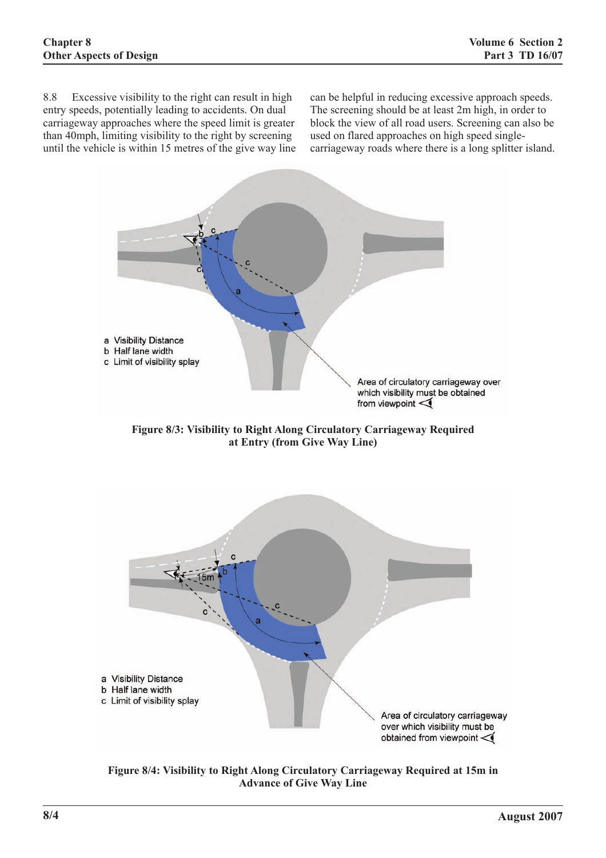8.8 Excessive visibility to the right can result in high entry speeds, potentially leading to accidents. On dual carriageway approaches where the speed limit is greater than 40mph, limiting visibility to the right by screening until the vehicle is within 15 metres of the give way line can be helpful in reducing excessive approach speeds. The screening should be at least 2m high, in order to block the view of all road users. Screening can also be used on flared approaches on high speed singlecarriageway roads where there is a long splitter island.



**Figure 8/3: Visibility to Right Along Circulatory Carriageway Required at Entry (from Give Way Line)**



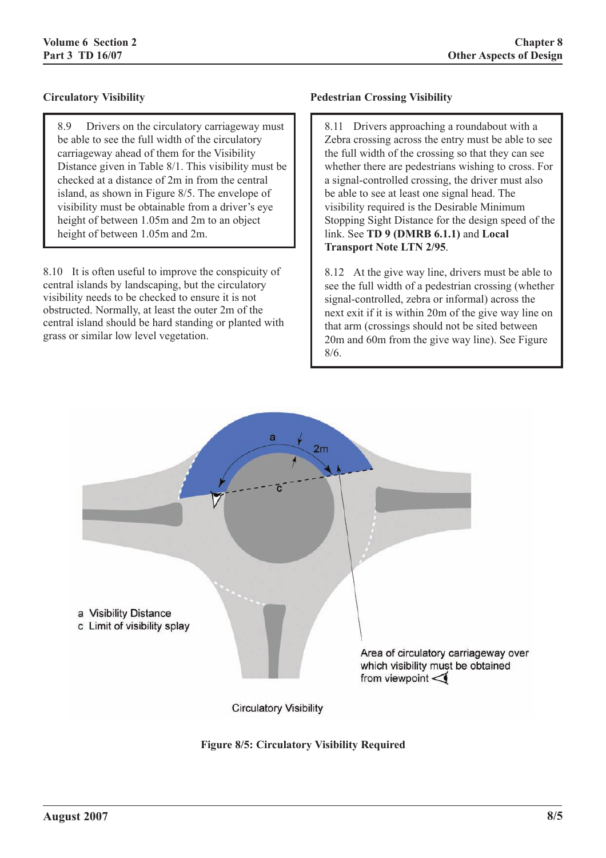# **Circulatory Visibility**

8.9 Drivers on the circulatory carriageway must be able to see the full width of the circulatory carriageway ahead of them for the Visibility Distance given in Table 8/1. This visibility must be checked at a distance of 2m in from the central island, as shown in Figure 8/5. The envelope of visibility must be obtainable from a driver's eye height of between 1.05m and 2m to an object height of between 1.05m and 2m.

8.10 It is often useful to improve the conspicuity of central islands by landscaping, but the circulatory visibility needs to be checked to ensure it is not obstructed. Normally, at least the outer 2m of the central island should be hard standing or planted with grass or similar low level vegetation.

### **Pedestrian Crossing Visibility**

8.11 Drivers approaching a roundabout with a Zebra crossing across the entry must be able to see the full width of the crossing so that they can see whether there are pedestrians wishing to cross. For a signal-controlled crossing, the driver must also be able to see at least one signal head. The visibility required is the Desirable Minimum Stopping Sight Distance for the design speed of the link. See **TD 9 (DMRB 6.1.1)** and **Local Transport Note LTN 2/95**.

8.12 At the give way line, drivers must be able to see the full width of a pedestrian crossing (whether signal-controlled, zebra or informal) across the next exit if it is within 20m of the give way line on that arm (crossings should not be sited between 20m and 60m from the give way line). See Figure 8/6.



**Figure 8/5: Circulatory Visibility Required**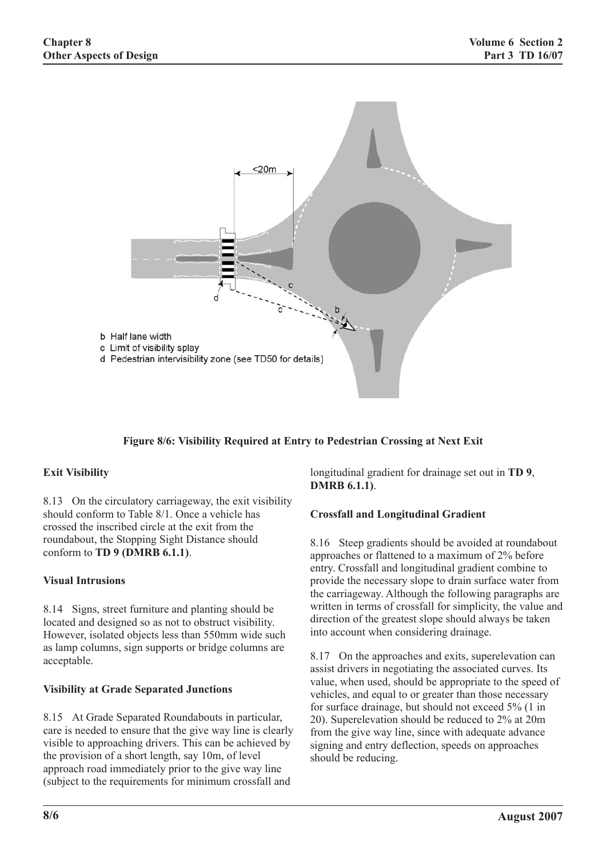

### **Figure 8/6: Visibility Required at Entry to Pedestrian Crossing at Next Exit**

### **Exit Visibility**

8.13 On the circulatory carriageway, the exit visibility should conform to Table 8/1. Once a vehicle has crossed the inscribed circle at the exit from the roundabout, the Stopping Sight Distance should conform to **TD 9 (DMRB 6.1.1)**.

#### **Visual Intrusions**

8.14 Signs, street furniture and planting should be located and designed so as not to obstruct visibility. However, isolated objects less than 550mm wide such as lamp columns, sign supports or bridge columns are acceptable.

### **Visibility at Grade Separated Junctions**

8.15 At Grade Separated Roundabouts in particular, care is needed to ensure that the give way line is clearly visible to approaching drivers. This can be achieved by the provision of a short length, say 10m, of level approach road immediately prior to the give way line (subject to the requirements for minimum crossfall and

longitudinal gradient for drainage set out in **TD 9**, **DMRB 6.1.1)**.

#### **Crossfall and Longitudinal Gradient**

8.16 Steep gradients should be avoided at roundabout approaches or flattened to a maximum of 2% before entry. Crossfall and longitudinal gradient combine to provide the necessary slope to drain surface water from the carriageway. Although the following paragraphs are written in terms of crossfall for simplicity, the value and direction of the greatest slope should always be taken into account when considering drainage.

8.17 On the approaches and exits, superelevation can assist drivers in negotiating the associated curves. Its value, when used, should be appropriate to the speed of vehicles, and equal to or greater than those necessary for surface drainage, but should not exceed 5% (1 in 20). Superelevation should be reduced to 2% at 20m from the give way line, since with adequate advance signing and entry deflection, speeds on approaches should be reducing.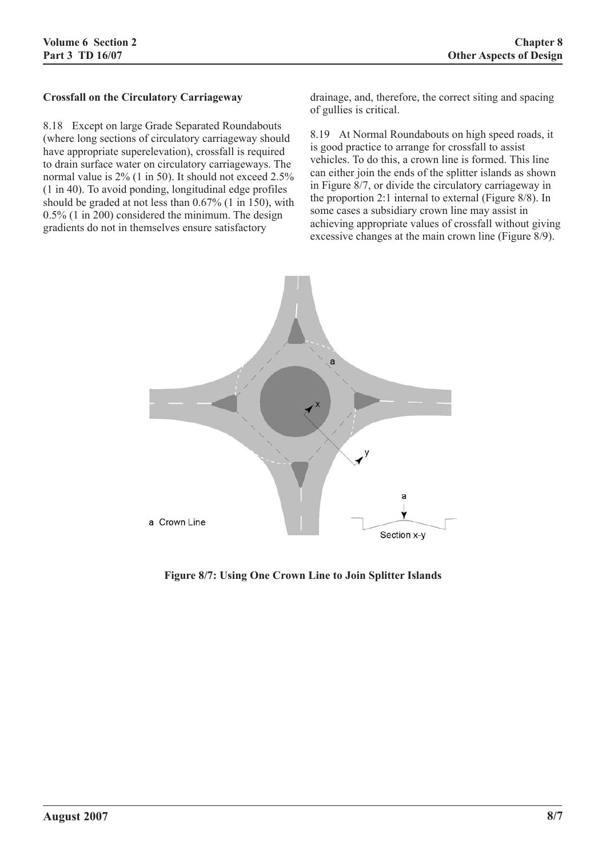#### **Crossfall on the Circulatory Carriageway**

8.18 Except on large Grade Separated Roundabouts (where long sections of circulatory carriageway should have appropriate superelevation), crossfall is required to drain surface water on circulatory carriageways. The normal value is 2% (1 in 50). It should not exceed 2.5% (1 in 40). To avoid ponding, longitudinal edge profiles should be graded at not less than 0.67% (1 in 150), with 0.5% (1 in 200) considered the minimum. The design gradients do not in themselves ensure satisfactory

drainage, and, therefore, the correct siting and spacing of gullies is critical.

8.19 At Normal Roundabouts on high speed roads, it is good practice to arrange for crossfall to assist vehicles. To do this, a crown line is formed. This line can either join the ends of the splitter islands as shown in Figure 8/7, or divide the circulatory carriageway in the proportion 2:1 internal to external (Figure 8/8). In some cases a subsidiary crown line may assist in achieving appropriate values of crossfall without giving excessive changes at the main crown line (Figure 8/9).



**Figure 8/7: Using One Crown Line to Join Splitter Islands**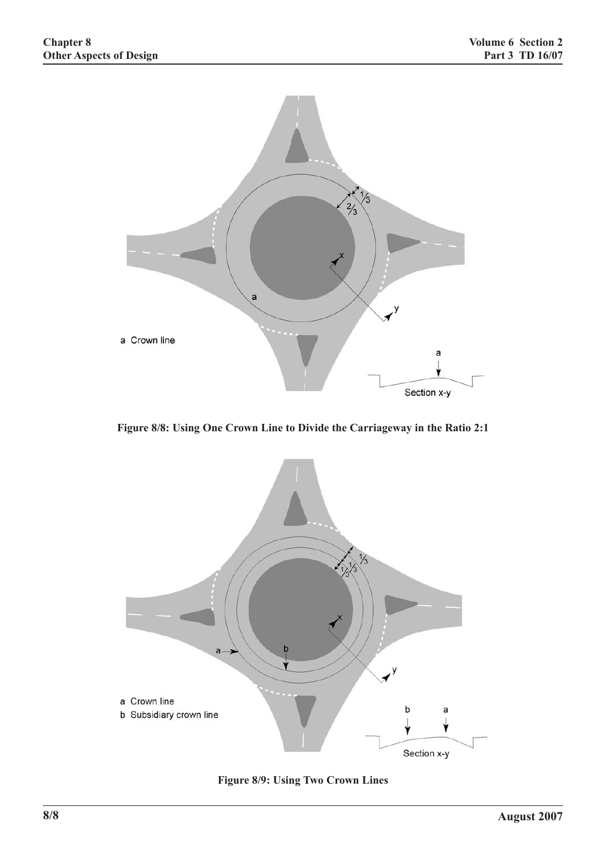

**Figure 8/8: Using One Crown Line to Divide the Carriageway in the Ratio 2:1**



**Figure 8/9: Using Two Crown Lines**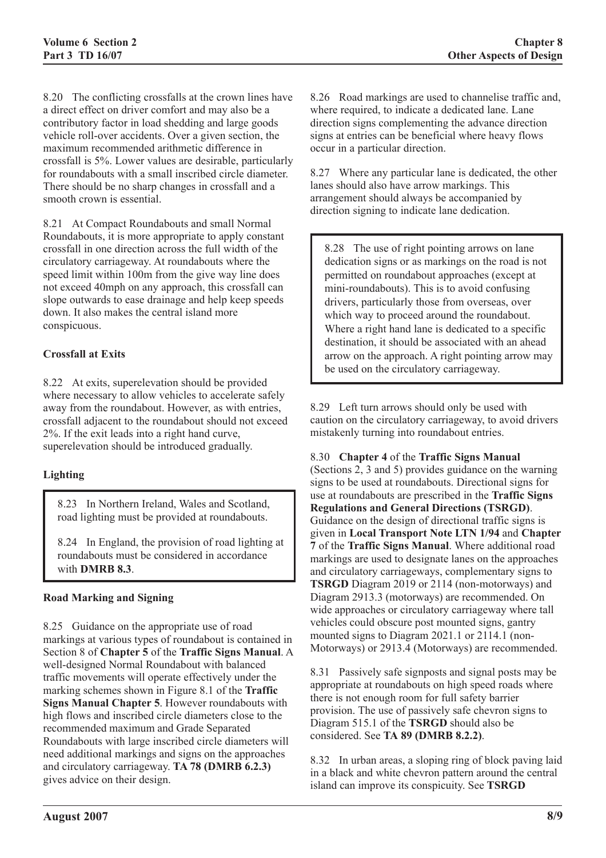8.20 The conflicting crossfalls at the crown lines have a direct effect on driver comfort and may also be a contributory factor in load shedding and large goods vehicle roll-over accidents. Over a given section, the maximum recommended arithmetic difference in crossfall is 5%. Lower values are desirable, particularly for roundabouts with a small inscribed circle diameter. There should be no sharp changes in crossfall and a smooth crown is essential.

8.21 At Compact Roundabouts and small Normal Roundabouts, it is more appropriate to apply constant crossfall in one direction across the full width of the circulatory carriageway. At roundabouts where the speed limit within 100m from the give way line does not exceed 40mph on any approach, this crossfall can slope outwards to ease drainage and help keep speeds down. It also makes the central island more conspicuous.

### **Crossfall at Exits**

8.22 At exits, superelevation should be provided where necessary to allow vehicles to accelerate safely away from the roundabout. However, as with entries, crossfall adjacent to the roundabout should not exceed 2%. If the exit leads into a right hand curve, superelevation should be introduced gradually.

### **Lighting**

8.23 In Northern Ireland, Wales and Scotland, road lighting must be provided at roundabouts.

8.24 In England, the provision of road lighting at roundabouts must be considered in accordance with **DMRB 8.3**.

### **Road Marking and Signing**

8.25 Guidance on the appropriate use of road markings at various types of roundabout is contained in Section 8 of **Chapter 5** of the **Traffic Signs Manual**. A well-designed Normal Roundabout with balanced traffic movements will operate effectively under the marking schemes shown in Figure 8.1 of the **Traffic Signs Manual Chapter 5**. However roundabouts with high flows and inscribed circle diameters close to the recommended maximum and Grade Separated Roundabouts with large inscribed circle diameters will need additional markings and signs on the approaches and circulatory carriageway. **TA 78 (DMRB 6.2.3)** gives advice on their design.

8.26 Road markings are used to channelise traffic and, where required, to indicate a dedicated lane. Lane direction signs complementing the advance direction signs at entries can be beneficial where heavy flows occur in a particular direction.

8.27 Where any particular lane is dedicated, the other lanes should also have arrow markings. This arrangement should always be accompanied by direction signing to indicate lane dedication.

8.28 The use of right pointing arrows on lane dedication signs or as markings on the road is not permitted on roundabout approaches (except at mini-roundabouts). This is to avoid confusing drivers, particularly those from overseas, over which way to proceed around the roundabout. Where a right hand lane is dedicated to a specific destination, it should be associated with an ahead arrow on the approach. A right pointing arrow may be used on the circulatory carriageway.

8.29 Left turn arrows should only be used with caution on the circulatory carriageway, to avoid drivers mistakenly turning into roundabout entries.

8.30 **Chapter 4** of the **Traffic Signs Manual** (Sections 2, 3 and 5) provides guidance on the warning signs to be used at roundabouts. Directional signs for use at roundabouts are prescribed in the **Traffic Signs Regulations and General Directions (TSRGD)**. Guidance on the design of directional traffic signs is given in **Local Transport Note LTN 1/94** and **Chapter 7** of the **Traffic Signs Manual**. Where additional road markings are used to designate lanes on the approaches and circulatory carriageways, complementary signs to **TSRGD** Diagram 2019 or 2114 (non-motorways) and Diagram 2913.3 (motorways) are recommended. On wide approaches or circulatory carriageway where tall vehicles could obscure post mounted signs, gantry mounted signs to Diagram 2021.1 or 2114.1 (non-Motorways) or 2913.4 (Motorways) are recommended.

8.31 Passively safe signposts and signal posts may be appropriate at roundabouts on high speed roads where there is not enough room for full safety barrier provision. The use of passively safe chevron signs to Diagram 515.1 of the **TSRGD** should also be considered. See **TA 89 (DMRB 8.2.2)**.

8.32 In urban areas, a sloping ring of block paving laid in a black and white chevron pattern around the central island can improve its conspicuity. See **TSRGD**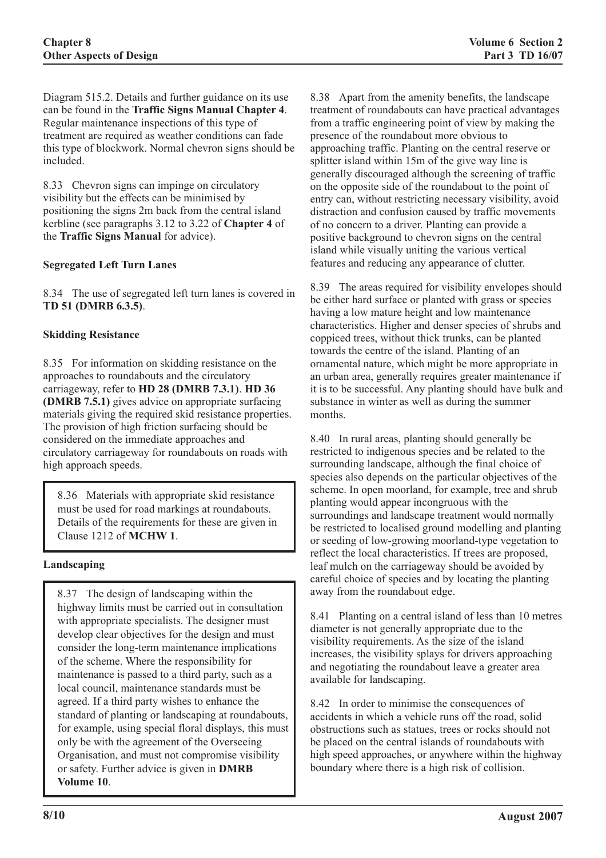Diagram 515.2. Details and further guidance on its use can be found in the **Traffic Signs Manual Chapter 4**. Regular maintenance inspections of this type of treatment are required as weather conditions can fade this type of blockwork. Normal chevron signs should be included.

8.33 Chevron signs can impinge on circulatory visibility but the effects can be minimised by positioning the signs 2m back from the central island kerbline (see paragraphs 3.12 to 3.22 of **Chapter 4** of the **Traffic Signs Manual** for advice).

### **Segregated Left Turn Lanes**

8.34 The use of segregated left turn lanes is covered in **TD 51 (DMRB 6.3.5)**.

#### **Skidding Resistance**

8.35 For information on skidding resistance on the approaches to roundabouts and the circulatory carriageway, refer to **HD 28 (DMRB 7.3.1)**. **HD 36 (DMRB 7.5.1)** gives advice on appropriate surfacing materials giving the required skid resistance properties. The provision of high friction surfacing should be considered on the immediate approaches and circulatory carriageway for roundabouts on roads with high approach speeds.

8.36 Materials with appropriate skid resistance must be used for road markings at roundabouts. Details of the requirements for these are given in Clause 1212 of **MCHW 1**.

### **Landscaping**

8.37 The design of landscaping within the highway limits must be carried out in consultation with appropriate specialists. The designer must develop clear objectives for the design and must consider the long-term maintenance implications of the scheme. Where the responsibility for maintenance is passed to a third party, such as a local council, maintenance standards must be agreed. If a third party wishes to enhance the standard of planting or landscaping at roundabouts, for example, using special floral displays, this must only be with the agreement of the Overseeing Organisation, and must not compromise visibility or safety. Further advice is given in **DMRB Volume 10**.

8.38 Apart from the amenity benefits, the landscape treatment of roundabouts can have practical advantages from a traffic engineering point of view by making the presence of the roundabout more obvious to approaching traffic. Planting on the central reserve or splitter island within 15m of the give way line is generally discouraged although the screening of traffic on the opposite side of the roundabout to the point of entry can, without restricting necessary visibility, avoid distraction and confusion caused by traffic movements of no concern to a driver. Planting can provide a positive background to chevron signs on the central island while visually uniting the various vertical features and reducing any appearance of clutter.

8.39 The areas required for visibility envelopes should be either hard surface or planted with grass or species having a low mature height and low maintenance characteristics. Higher and denser species of shrubs and coppiced trees, without thick trunks, can be planted towards the centre of the island. Planting of an ornamental nature, which might be more appropriate in an urban area, generally requires greater maintenance if it is to be successful. Any planting should have bulk and substance in winter as well as during the summer months.

8.40 In rural areas, planting should generally be restricted to indigenous species and be related to the surrounding landscape, although the final choice of species also depends on the particular objectives of the scheme. In open moorland, for example, tree and shrub planting would appear incongruous with the surroundings and landscape treatment would normally be restricted to localised ground modelling and planting or seeding of low-growing moorland-type vegetation to reflect the local characteristics. If trees are proposed, leaf mulch on the carriageway should be avoided by careful choice of species and by locating the planting away from the roundabout edge.

8.41 Planting on a central island of less than 10 metres diameter is not generally appropriate due to the visibility requirements. As the size of the island increases, the visibility splays for drivers approaching and negotiating the roundabout leave a greater area available for landscaping.

8.42 In order to minimise the consequences of accidents in which a vehicle runs off the road, solid obstructions such as statues, trees or rocks should not be placed on the central islands of roundabouts with high speed approaches, or anywhere within the highway boundary where there is a high risk of collision.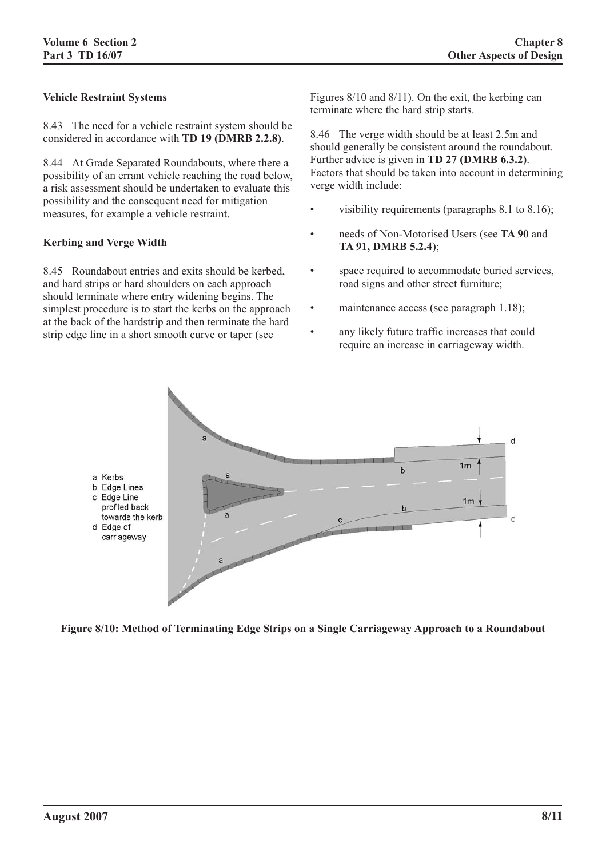### **Vehicle Restraint Systems**

8.43 The need for a vehicle restraint system should be considered in accordance with **TD 19 (DMRB 2.2.8)**.

8.44 At Grade Separated Roundabouts, where there a possibility of an errant vehicle reaching the road below, a risk assessment should be undertaken to evaluate this possibility and the consequent need for mitigation measures, for example a vehicle restraint.

#### **Kerbing and Verge Width**

8.45 Roundabout entries and exits should be kerbed, and hard strips or hard shoulders on each approach should terminate where entry widening begins. The simplest procedure is to start the kerbs on the approach at the back of the hardstrip and then terminate the hard strip edge line in a short smooth curve or taper (see

Figures 8/10 and 8/11). On the exit, the kerbing can terminate where the hard strip starts.

8.46 The verge width should be at least 2.5m and should generally be consistent around the roundabout. Further advice is given in **TD 27 (DMRB 6.3.2)**. Factors that should be taken into account in determining verge width include:

- visibility requirements (paragraphs  $8.1$  to  $8.16$ );
- needs of Non-Motorised Users (see **TA 90** and **TA 91, DMRB 5.2.4**);
- space required to accommodate buried services, road signs and other street furniture;
- maintenance access (see paragraph 1.18);
- any likely future traffic increases that could require an increase in carriageway width.



**Figure 8/10: Method of Terminating Edge Strips on a Single Carriageway Approach to a Roundabout**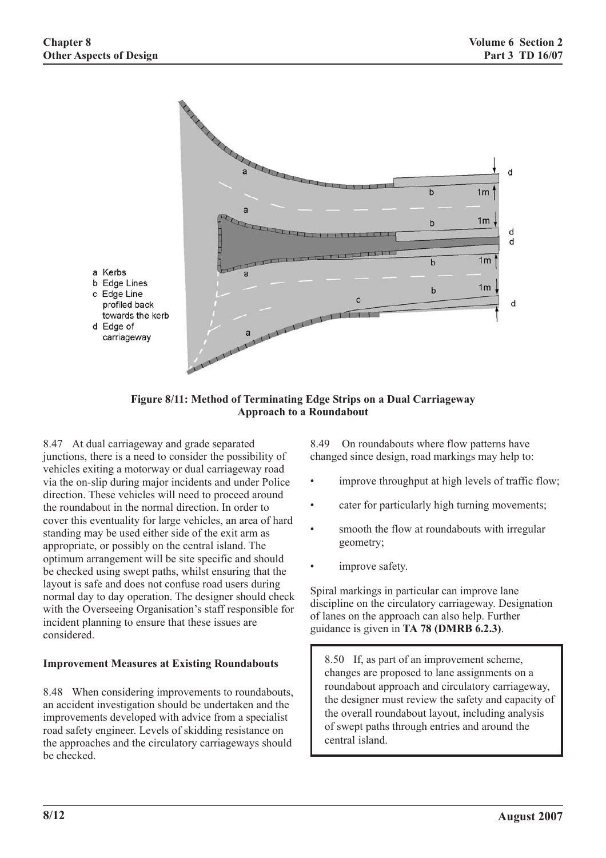

**Figure 8/11: Method of Terminating Edge Strips on a Dual Carriageway Approach to a Roundabout**

8.47 At dual carriageway and grade separated junctions, there is a need to consider the possibility of vehicles exiting a motorway or dual carriageway road via the on-slip during major incidents and under Police direction. These vehicles will need to proceed around the roundabout in the normal direction. In order to cover this eventuality for large vehicles, an area of hard standing may be used either side of the exit arm as appropriate, or possibly on the central island. The optimum arrangement will be site specific and should be checked using swept paths, whilst ensuring that the layout is safe and does not confuse road users during normal day to day operation. The designer should check with the Overseeing Organisation's staff responsible for incident planning to ensure that these issues are considered.

# **Improvement Measures at Existing Roundabouts**

8.48 When considering improvements to roundabouts, an accident investigation should be undertaken and the improvements developed with advice from a specialist road safety engineer. Levels of skidding resistance on the approaches and the circulatory carriageways should be checked.

8.49 On roundabouts where flow patterns have changed since design, road markings may help to:

- improve throughput at high levels of traffic flow;
- cater for particularly high turning movements;
- smooth the flow at roundabouts with irregular geometry;
- improve safety.

Spiral markings in particular can improve lane discipline on the circulatory carriageway. Designation of lanes on the approach can also help. Further guidance is given in **TA 78 (DMRB 6.2.3)**.

8.50 If, as part of an improvement scheme, changes are proposed to lane assignments on a roundabout approach and circulatory carriageway, the designer must review the safety and capacity of the overall roundabout layout, including analysis of swept paths through entries and around the central island.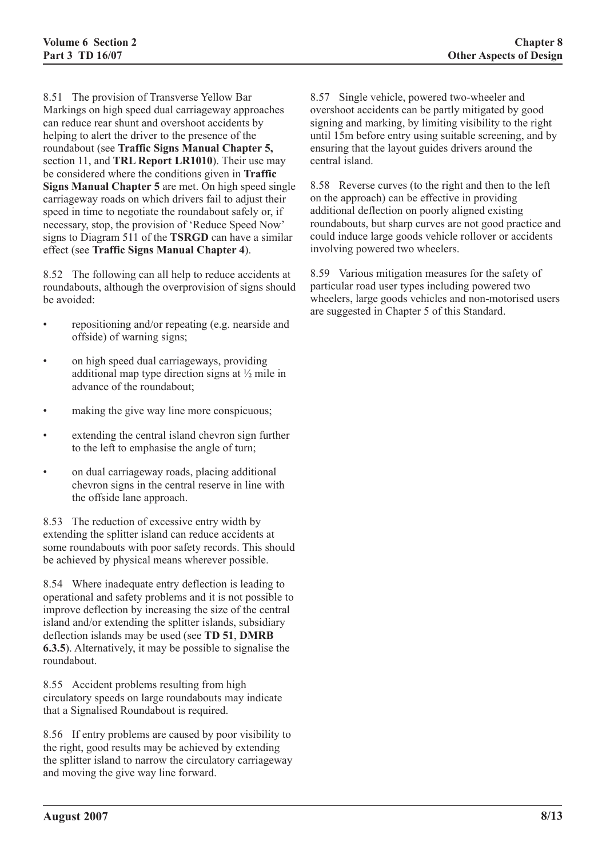8.51 The provision of Transverse Yellow Bar Markings on high speed dual carriageway approaches can reduce rear shunt and overshoot accidents by helping to alert the driver to the presence of the roundabout (see **Traffic Signs Manual Chapter 5,** section 11, and **TRL Report LR1010**). Their use may be considered where the conditions given in **Traffic Signs Manual Chapter 5** are met. On high speed single carriageway roads on which drivers fail to adjust their speed in time to negotiate the roundabout safely or, if necessary, stop, the provision of 'Reduce Speed Now' signs to Diagram 511 of the **TSRGD** can have a similar effect (see **Traffic Signs Manual Chapter 4**).

8.52 The following can all help to reduce accidents at roundabouts, although the overprovision of signs should be avoided:

- repositioning and/or repeating (e.g. nearside and offside) of warning signs;
- on high speed dual carriageways, providing additional map type direction signs at ½ mile in advance of the roundabout;
- making the give way line more conspicuous;
- extending the central island chevron sign further to the left to emphasise the angle of turn;
- on dual carriageway roads, placing additional chevron signs in the central reserve in line with the offside lane approach.

8.53 The reduction of excessive entry width by extending the splitter island can reduce accidents at some roundabouts with poor safety records. This should be achieved by physical means wherever possible.

8.54 Where inadequate entry deflection is leading to operational and safety problems and it is not possible to improve deflection by increasing the size of the central island and/or extending the splitter islands, subsidiary deflection islands may be used (see **TD 51**, **DMRB 6.3.5**). Alternatively, it may be possible to signalise the roundabout.

8.55 Accident problems resulting from high circulatory speeds on large roundabouts may indicate that a Signalised Roundabout is required.

8.56 If entry problems are caused by poor visibility to the right, good results may be achieved by extending the splitter island to narrow the circulatory carriageway and moving the give way line forward.

8.57 Single vehicle, powered two-wheeler and overshoot accidents can be partly mitigated by good signing and marking, by limiting visibility to the right until 15m before entry using suitable screening, and by ensuring that the layout guides drivers around the central island.

8.58 Reverse curves (to the right and then to the left on the approach) can be effective in providing additional deflection on poorly aligned existing roundabouts, but sharp curves are not good practice and could induce large goods vehicle rollover or accidents involving powered two wheelers.

8.59 Various mitigation measures for the safety of particular road user types including powered two wheelers, large goods vehicles and non-motorised users are suggested in Chapter 5 of this Standard.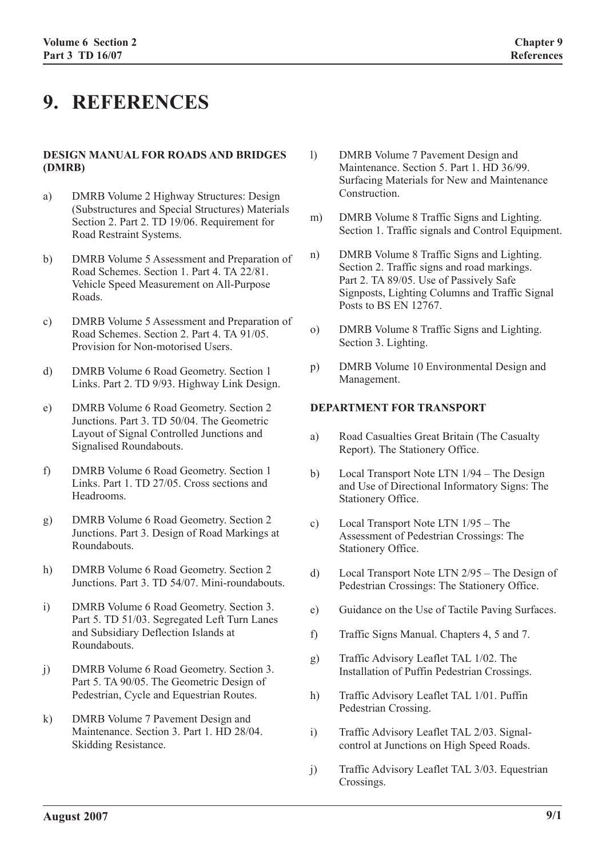# **9. REFERENCES**

#### **DESIGN MANUAL FOR ROADS AND BRIDGES (DMRB)**

- a) DMRB Volume 2 Highway Structures: Design (Substructures and Special Structures) Materials Section 2. Part 2. TD 19/06. Requirement for Road Restraint Systems.
- b) DMRB Volume 5 Assessment and Preparation of Road Schemes. Section 1. Part 4. TA 22/81. Vehicle Speed Measurement on All-Purpose Roads.
- c) DMRB Volume 5 Assessment and Preparation of Road Schemes. Section 2. Part 4. TA 91/05. Provision for Non-motorised Users.
- d) DMRB Volume 6 Road Geometry. Section 1 Links. Part 2. TD 9/93. Highway Link Design.
- e) DMRB Volume 6 Road Geometry. Section 2 Junctions. Part 3. TD 50/04. The Geometric Layout of Signal Controlled Junctions and Signalised Roundabouts.
- f) DMRB Volume 6 Road Geometry. Section 1 Links. Part 1. TD 27/05. Cross sections and Headrooms.
- g) DMRB Volume 6 Road Geometry. Section 2 Junctions. Part 3. Design of Road Markings at Roundabouts.
- h) DMRB Volume 6 Road Geometry. Section 2 Junctions. Part 3. TD 54/07. Mini-roundabouts.
- i) DMRB Volume 6 Road Geometry. Section 3. Part 5. TD 51/03. Segregated Left Turn Lanes and Subsidiary Deflection Islands at Roundabouts.
- j) DMRB Volume 6 Road Geometry. Section 3. Part 5. TA 90/05. The Geometric Design of Pedestrian, Cycle and Equestrian Routes.
- k) DMRB Volume 7 Pavement Design and Maintenance. Section 3. Part 1. HD 28/04. Skidding Resistance.
- l) DMRB Volume 7 Pavement Design and Maintenance. Section 5. Part 1. HD 36/99. Surfacing Materials for New and Maintenance Construction.
- m) DMRB Volume 8 Traffic Signs and Lighting. Section 1. Traffic signals and Control Equipment.
- n) DMRB Volume 8 Traffic Signs and Lighting. Section 2. Traffic signs and road markings. Part 2. TA 89/05. Use of Passively Safe Signposts, Lighting Columns and Traffic Signal Posts to BS EN 12767.
- o) DMRB Volume 8 Traffic Signs and Lighting. Section 3. Lighting.
- p) DMRB Volume 10 Environmental Design and Management.

# **DEPARTMENT FOR TRANSPORT**

- a) Road Casualties Great Britain (The Casualty Report). The Stationery Office.
- b) Local Transport Note LTN 1/94 The Design and Use of Directional Informatory Signs: The Stationery Office.
- c) Local Transport Note LTN 1/95 The Assessment of Pedestrian Crossings: The Stationery Office.
- d) Local Transport Note LTN 2/95 The Design of Pedestrian Crossings: The Stationery Office.
- e) Guidance on the Use of Tactile Paving Surfaces.
- f) Traffic Signs Manual. Chapters 4, 5 and 7.
- g) Traffic Advisory Leaflet TAL 1/02. The Installation of Puffin Pedestrian Crossings.
- h) Traffic Advisory Leaflet TAL 1/01. Puffin Pedestrian Crossing.
- i) Traffic Advisory Leaflet TAL 2/03. Signalcontrol at Junctions on High Speed Roads.
- j) Traffic Advisory Leaflet TAL 3/03. Equestrian Crossings.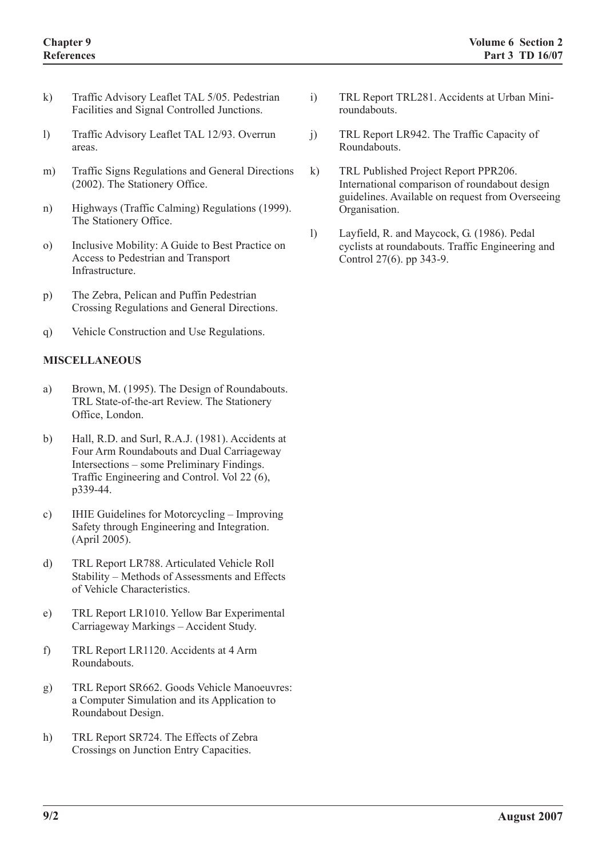- k) Traffic Advisory Leaflet TAL 5/05. Pedestrian Facilities and Signal Controlled Junctions.
- l) Traffic Advisory Leaflet TAL 12/93. Overrun areas.
- m) Traffic Signs Regulations and General Directions (2002). The Stationery Office.
- n) Highways (Traffic Calming) Regulations (1999). The Stationery Office.
- o) Inclusive Mobility: A Guide to Best Practice on Access to Pedestrian and Transport Infrastructure.
- p) The Zebra, Pelican and Puffin Pedestrian Crossing Regulations and General Directions.
- q) Vehicle Construction and Use Regulations.

### **MISCELLANEOUS**

- a) Brown, M. (1995). The Design of Roundabouts. TRL State-of-the-art Review. The Stationery Office, London.
- b) Hall, R.D. and Surl, R.A.J. (1981). Accidents at Four Arm Roundabouts and Dual Carriageway Intersections – some Preliminary Findings. Traffic Engineering and Control. Vol 22 (6), p339-44.
- c) IHIE Guidelines for Motorcycling Improving Safety through Engineering and Integration. (April 2005).
- d) TRL Report LR788. Articulated Vehicle Roll Stability – Methods of Assessments and Effects of Vehicle Characteristics.
- e) TRL Report LR1010. Yellow Bar Experimental Carriageway Markings – Accident Study.
- f) TRL Report LR1120. Accidents at 4 Arm Roundabouts.
- g) TRL Report SR662. Goods Vehicle Manoeuvres: a Computer Simulation and its Application to Roundabout Design.
- h) TRL Report SR724. The Effects of Zebra Crossings on Junction Entry Capacities.
- i) TRL Report TRL281. Accidents at Urban Miniroundabouts.
- j) TRL Report LR942. The Traffic Capacity of Roundabouts.
- k) TRL Published Project Report PPR206. International comparison of roundabout design guidelines. Available on request from Overseeing Organisation.
- l) Layfield, R. and Maycock, G. (1986). Pedal cyclists at roundabouts. Traffic Engineering and Control 27(6). pp 343-9.